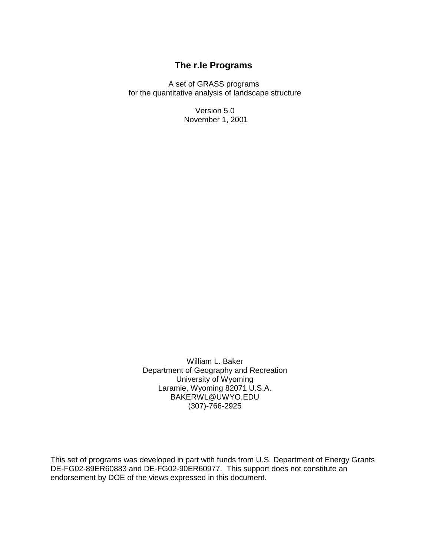# **The r.le Programs**

A set of GRASS programs for the quantitative analysis of landscape structure

> Version 5.0 November 1, 2001

William L. Baker Department of Geography and Recreation University of Wyoming Laramie, Wyoming 82071 U.S.A. BAKERWL@UWYO.EDU (307)-766-2925

This set of programs was developed in part with funds from U.S. Department of Energy Grants DE-FG02-89ER60883 and DE-FG02-90ER60977. This support does not constitute an endorsement by DOE of the views expressed in this document.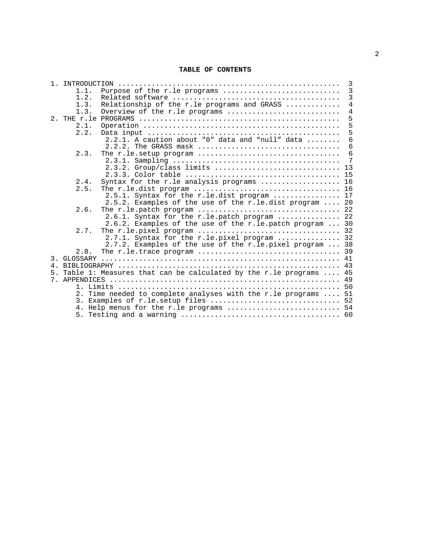#### **TABLE OF CONTENTS**

| $\overline{3}$                                                 |                                                                      |                |  |  |
|----------------------------------------------------------------|----------------------------------------------------------------------|----------------|--|--|
| 1.1.                                                           | Purpose of the r.le programs                                         | $\overline{3}$ |  |  |
| 1.2.                                                           |                                                                      | $\overline{3}$ |  |  |
| 1.3.                                                           | Relationship of the r.le programs and GRASS                          | $\overline{4}$ |  |  |
| 1.3.                                                           | Overview of the r.le programs                                        | $\sqrt{4}$     |  |  |
|                                                                |                                                                      | 5              |  |  |
| 2.1.                                                           |                                                                      | 5              |  |  |
| 2.2.                                                           |                                                                      | 5              |  |  |
|                                                                | 2.2.1. A caution about "0" data and "null" data                      | 6              |  |  |
|                                                                | 2.2.2. The GRASS mask                                                | 6              |  |  |
| 2.3.                                                           |                                                                      | 6              |  |  |
|                                                                |                                                                      | 7              |  |  |
|                                                                | 2.3.2. Group/class limits                                            | 13             |  |  |
|                                                                |                                                                      | 15             |  |  |
| 2.4.                                                           | Syntax for the r.le analysis programs                                | 16             |  |  |
| 2.5.                                                           |                                                                      |                |  |  |
|                                                                | 2.5.1. Syntax for the r.le.dist program  17                          |                |  |  |
|                                                                | 2.5.2. Examples of the use of the r.le.dist program  20              |                |  |  |
| 2.6.                                                           |                                                                      |                |  |  |
|                                                                | 2.6.1. Syntax for the r.le.patch program  22                         |                |  |  |
| 2.6.2. Examples of the use of the r.le.patch program  30       |                                                                      |                |  |  |
| 2.7.                                                           |                                                                      |                |  |  |
|                                                                | 2.7.1. Syntax for the r.le. pixel program  32                        |                |  |  |
|                                                                | 2.7.2. Examples of the use of the r.le.pixel program  38             |                |  |  |
| 2.8.                                                           |                                                                      |                |  |  |
|                                                                |                                                                      |                |  |  |
|                                                                |                                                                      |                |  |  |
|                                                                | 5. Table 1: Measures that can be calculated by the r.le programs  45 |                |  |  |
|                                                                |                                                                      |                |  |  |
|                                                                |                                                                      |                |  |  |
| 2. Time needed to complete analyses with the r.le programs  51 |                                                                      |                |  |  |
|                                                                | 3. Examples of r.le.setup files  52                                  |                |  |  |
|                                                                | 4. Help menus for the r.le programs  54                              |                |  |  |
|                                                                |                                                                      |                |  |  |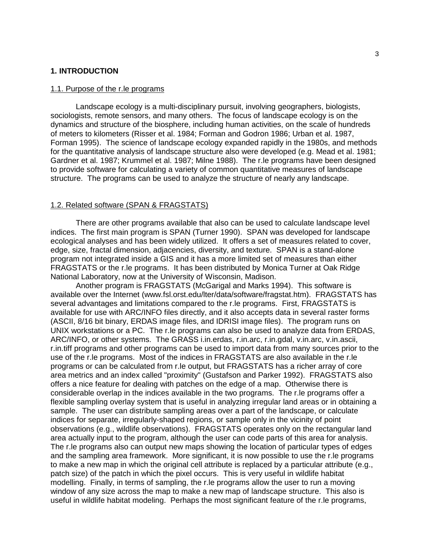#### **1. INTRODUCTION**

#### 1.1. Purpose of the r.le programs

Landscape ecology is a multi-disciplinary pursuit, involving geographers, biologists, sociologists, remote sensors, and many others. The focus of landscape ecology is on the dynamics and structure of the biosphere, including human activities, on the scale of hundreds of meters to kilometers (Risser et al. 1984; Forman and Godron 1986; Urban et al. 1987, Forman 1995). The science of landscape ecology expanded rapidly in the 1980s, and methods for the quantitative analysis of landscape structure also were developed (e.g. Mead et al. 1981; Gardner et al. 1987; Krummel et al. 1987; Milne 1988). The r.le programs have been designed to provide software for calculating a variety of common quantitative measures of landscape structure. The programs can be used to analyze the structure of nearly any landscape.

#### 1.2. Related software (SPAN & FRAGSTATS)

There are other programs available that also can be used to calculate landscape level indices. The first main program is SPAN (Turner 1990). SPAN was developed for landscape ecological analyses and has been widely utilized. It offers a set of measures related to cover, edge, size, fractal dimension, adjacencies, diversity, and texture. SPAN is a stand-alone program not integrated inside a GIS and it has a more limited set of measures than either FRAGSTATS or the r.le programs. It has been distributed by Monica Turner at Oak Ridge National Laboratory, now at the University of Wisconsin, Madison.

Another program is FRAGSTATS (McGarigal and Marks 1994). This software is available over the Internet (www.fsl.orst.edu/lter/data/software/fragstat.htm). FRAGSTATS has several advantages and limitations compared to the r.le programs. First, FRAGSTATS is available for use with ARC/INFO files directly, and it also accepts data in several raster forms (ASCII, 8/16 bit binary, ERDAS image files, and IDRISI image files). The program runs on UNIX workstations or a PC. The r.le programs can also be used to analyze data from ERDAS, ARC/INFO, or other systems. The GRASS i.in.erdas, r.in.arc, r.in.gdal, v.in.arc, v.in.ascii, r.in.tiff programs and other programs can be used to import data from many sources prior to the use of the r.le programs. Most of the indices in FRAGSTATS are also available in the r.le programs or can be calculated from r.le output, but FRAGSTATS has a richer array of core area metrics and an index called "proximity" (Gustafson and Parker 1992). FRAGSTATS also offers a nice feature for dealing with patches on the edge of a map. Otherwise there is considerable overlap in the indices available in the two programs. The r.le programs offer a flexible sampling overlay system that is useful in analyzing irregular land areas or in obtaining a sample. The user can distribute sampling areas over a part of the landscape, or calculate indices for separate, irregularly-shaped regions, or sample only in the vicinity of point observations (e.g., wildlife observations). FRAGSTATS operates only on the rectangular land area actually input to the program, although the user can code parts of this area for analysis. The r.le programs also can output new maps showing the location of particular types of edges and the sampling area framework. More significant, it is now possible to use the r.le programs to make a new map in which the original cell attribute is replaced by a particular attribute (e.g., patch size) of the patch in which the pixel occurs. This is very useful in wildlife habitat modelling. Finally, in terms of sampling, the r.le programs allow the user to run a moving window of any size across the map to make a new map of landscape structure. This also is useful in wildlife habitat modeling. Perhaps the most significant feature of the r.le programs,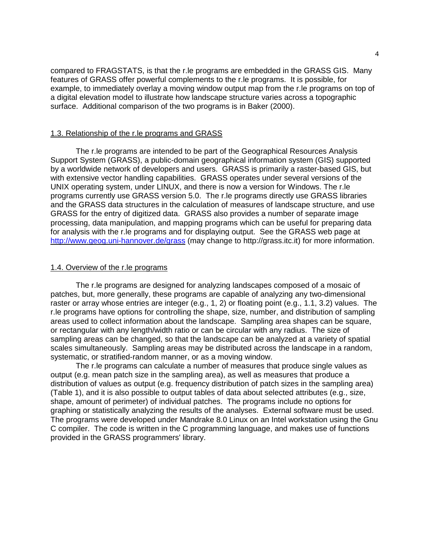compared to FRAGSTATS, is that the r.le programs are embedded in the GRASS GIS. Many features of GRASS offer powerful complements to the r.le programs. It is possible, for example, to immediately overlay a moving window output map from the r.le programs on top of a digital elevation model to illustrate how landscape structure varies across a topographic surface. Additional comparison of the two programs is in Baker (2000).

#### 1.3. Relationship of the r.le programs and GRASS

The r.le programs are intended to be part of the Geographical Resources Analysis Support System (GRASS), a public-domain geographical information system (GIS) supported by a worldwide network of developers and users. GRASS is primarily a raster-based GIS, but with extensive vector handling capabilities. GRASS operates under several versions of the UNIX operating system, under LINUX, and there is now a version for Windows. The r.le programs currently use GRASS version 5.0. The r.le programs directly use GRASS libraries and the GRASS data structures in the calculation of measures of landscape structure, and use GRASS for the entry of digitized data. GRASS also provides a number of separate image processing, data manipulation, and mapping programs which can be useful for preparing data for analysis with the r.le programs and for displaying output. See the GRASS web page at http://www.geog.uni-hannover.de/grass (may change to http://grass.itc.it) for more information.

#### 1.4. Overview of the r.le programs

The r.le programs are designed for analyzing landscapes composed of a mosaic of patches, but, more generally, these programs are capable of analyzing any two-dimensional raster or array whose entries are integer (e.g., 1, 2) or floating point (e.g., 1.1, 3.2) values. The r.le programs have options for controlling the shape, size, number, and distribution of sampling areas used to collect information about the landscape. Sampling area shapes can be square, or rectangular with any length/width ratio or can be circular with any radius. The size of sampling areas can be changed, so that the landscape can be analyzed at a variety of spatial scales simultaneously. Sampling areas may be distributed across the landscape in a random, systematic, or stratified-random manner, or as a moving window.

The r.le programs can calculate a number of measures that produce single values as output (e.g. mean patch size in the sampling area), as well as measures that produce a distribution of values as output (e.g. frequency distribution of patch sizes in the sampling area) (Table 1), and it is also possible to output tables of data about selected attributes (e.g., size, shape, amount of perimeter) of individual patches. The programs include no options for graphing or statistically analyzing the results of the analyses. External software must be used. The programs were developed under Mandrake 8.0 Linux on an Intel workstation using the Gnu C compiler. The code is written in the C programming language, and makes use of functions provided in the GRASS programmers' library.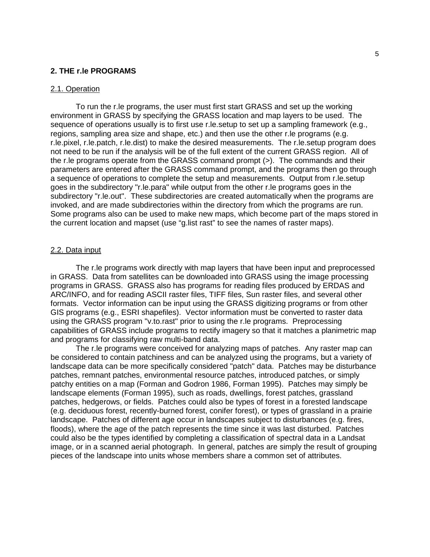#### **2. THE r.le PROGRAMS**

#### 2.1. Operation

To run the r.le programs, the user must first start GRASS and set up the working environment in GRASS by specifying the GRASS location and map layers to be used. The sequence of operations usually is to first use r.le.setup to set up a sampling framework (e.g., regions, sampling area size and shape, etc.) and then use the other r.le programs (e.g. r.le.pixel, r.le.patch, r.le.dist) to make the desired measurements. The r.le.setup program does not need to be run if the analysis will be of the full extent of the current GRASS region. All of the r.le programs operate from the GRASS command prompt (>). The commands and their parameters are entered after the GRASS command prompt, and the programs then go through a sequence of operations to complete the setup and measurements. Output from r.le.setup goes in the subdirectory "r.le.para" while output from the other r.le programs goes in the subdirectory "r.le.out". These subdirectories are created automatically when the programs are invoked, and are made subdirectories within the directory from which the programs are run. Some programs also can be used to make new maps, which become part of the maps stored in the current location and mapset (use "g.list rast" to see the names of raster maps).

#### 2.2. Data input

The r.le programs work directly with map layers that have been input and preprocessed in GRASS. Data from satellites can be downloaded into GRASS using the image processing programs in GRASS. GRASS also has programs for reading files produced by ERDAS and ARC/INFO, and for reading ASCII raster files, TIFF files, Sun raster files, and several other formats. Vector information can be input using the GRASS digitizing programs or from other GIS programs (e.g., ESRI shapefiles). Vector information must be converted to raster data using the GRASS program "v.to.rast" prior to using the r.le programs. Preprocessing capabilities of GRASS include programs to rectify imagery so that it matches a planimetric map and programs for classifying raw multi-band data.

The r.le programs were conceived for analyzing maps of patches. Any raster map can be considered to contain patchiness and can be analyzed using the programs, but a variety of landscape data can be more specifically considered "patch" data. Patches may be disturbance patches, remnant patches, environmental resource patches, introduced patches, or simply patchy entities on a map (Forman and Godron 1986, Forman 1995). Patches may simply be landscape elements (Forman 1995), such as roads, dwellings, forest patches, grassland patches, hedgerows, or fields. Patches could also be types of forest in a forested landscape (e.g. deciduous forest, recently-burned forest, conifer forest), or types of grassland in a prairie landscape. Patches of different age occur in landscapes subject to disturbances (e.g. fires, floods), where the age of the patch represents the time since it was last disturbed. Patches could also be the types identified by completing a classification of spectral data in a Landsat image, or in a scanned aerial photograph. In general, patches are simply the result of grouping pieces of the landscape into units whose members share a common set of attributes.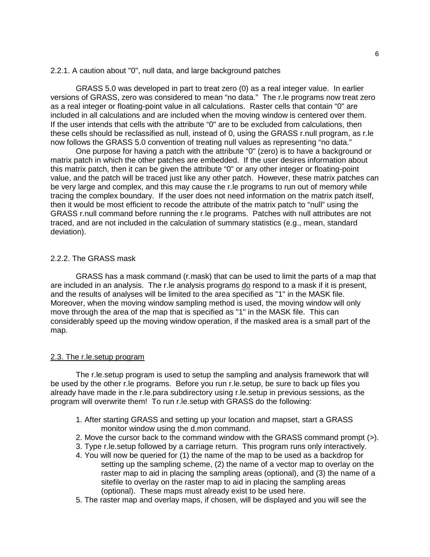#### 2.2.1. A caution about "0", null data, and large background patches

GRASS 5.0 was developed in part to treat zero (0) as a real integer value. In earlier versions of GRASS, zero was considered to mean "no data." The r.le programs now treat zero as a real integer or floating-point value in all calculations. Raster cells that contain "0" are included in all calculations and are included when the moving window is centered over them. If the user intends that cells with the attribute "0" are to be excluded from calculations, then these cells should be reclassified as null, instead of 0, using the GRASS r.null program, as r.le now follows the GRASS 5.0 convention of treating null values as representing "no data."

One purpose for having a patch with the attribute "0" (zero) is to have a background or matrix patch in which the other patches are embedded. If the user desires information about this matrix patch, then it can be given the attribute "0" or any other integer or floating-point value, and the patch will be traced just like any other patch. However, these matrix patches can be very large and complex, and this may cause the r.le programs to run out of memory while tracing the complex boundary. If the user does not need information on the matrix patch itself, then it would be most efficient to recode the attribute of the matrix patch to "null" using the GRASS r.null command before running the r.le programs. Patches with null attributes are not traced, and are not included in the calculation of summary statistics (e.g., mean, standard deviation).

## 2.2.2. The GRASS mask

GRASS has a mask command (r.mask) that can be used to limit the parts of a map that are included in an analysis. The r.le analysis programs do respond to a mask if it is present, and the results of analyses will be limited to the area specified as "1" in the MASK file. Moreover, when the moving window sampling method is used, the moving window will only move through the area of the map that is specified as "1" in the MASK file. This can considerably speed up the moving window operation, if the masked area is a small part of the map.

#### 2.3. The r.le.setup program

The r.le.setup program is used to setup the sampling and analysis framework that will be used by the other r.le programs. Before you run r.le.setup, be sure to back up files you already have made in the r.le.para subdirectory using r.le.setup in previous sessions, as the program will overwrite them! To run r.le.setup with GRASS do the following:

- 1. After starting GRASS and setting up your location and mapset, start a GRASS monitor window using the d.mon command.
- 2. Move the cursor back to the command window with the GRASS command prompt (>).
- 3. Type r.le.setup followed by a carriage return. This program runs only interactively.
- 4. You will now be queried for (1) the name of the map to be used as a backdrop for setting up the sampling scheme, (2) the name of a vector map to overlay on the raster map to aid in placing the sampling areas (optional), and (3) the name of a sitefile to overlay on the raster map to aid in placing the sampling areas (optional). These maps must already exist to be used here.
- 5. The raster map and overlay maps, if chosen, will be displayed and you will see the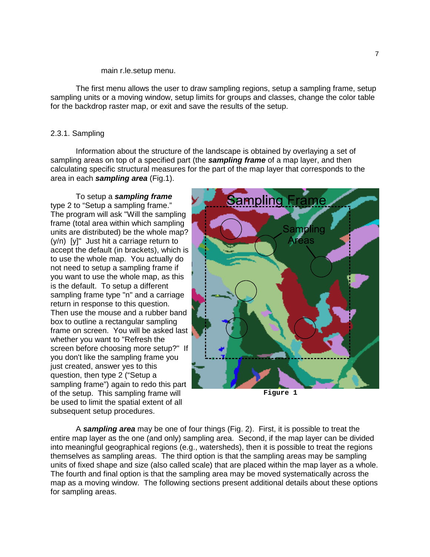#### main r.le.setup menu.

The first menu allows the user to draw sampling regions, setup a sampling frame, setup sampling units or a moving window, setup limits for groups and classes, change the color table for the backdrop raster map, or exit and save the results of the setup.

#### 2.3.1. Sampling

Information about the structure of the landscape is obtained by overlaying a set of sampling areas on top of a specified part (the *sampling frame* of a map layer, and then calculating specific structural measures for the part of the map layer that corresponds to the area in each *sampling area* (Fig.1).

To setup a *sampling frame* type 2 to "Setup a sampling frame." The program will ask "Will the sampling frame (total area within which sampling units are distributed) be the whole map? (y/n) [y]" Just hit a carriage return to accept the default (in brackets), which is to use the whole map. You actually do not need to setup a sampling frame if you want to use the whole map, as this is the default. To setup a different sampling frame type "n" and a carriage return in response to this question. Then use the mouse and a rubber band box to outline a rectangular sampling frame on screen. You will be asked last whether you want to "Refresh the screen before choosing more setup?" If you don't like the sampling frame you just created, answer yes to this question, then type 2 ("Setup a sampling frame") again to redo this part of the setup. This sampling frame will be used to limit the spatial extent of all subsequent setup procedures.



**Figure 1**

A *sampling area* may be one of four things (Fig. 2). First, it is possible to treat the entire map layer as the one (and only) sampling area. Second, if the map layer can be divided into meaningful geographical regions (e.g., watersheds), then it is possible to treat the regions themselves as sampling areas. The third option is that the sampling areas may be sampling units of fixed shape and size (also called scale) that are placed within the map layer as a whole. The fourth and final option is that the sampling area may be moved systematically across the map as a moving window. The following sections present additional details about these options for sampling areas.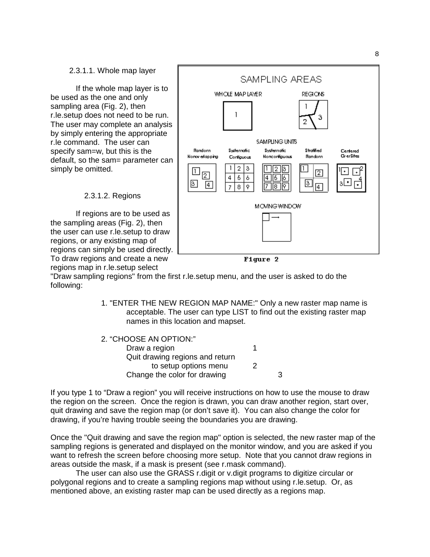#### 2.3.1.1. Whole map layer

If the whole map layer is to be used as the one and only sampling area (Fig. 2), then r.le.setup does not need to be run. The user may complete an analysis by simply entering the appropriate r.le command. The user can specify sam=w, but this is the default, so the sam= parameter can simply be omitted.



2.3.1.2. Regions

If regions are to be used as the sampling areas (Fig. 2), then the user can use r.le.setup to draw regions, or any existing map of regions can simply be used directly. To draw regions and create a new regions map in r.le.setup select

Figure 2

"Draw sampling regions" from the first r.le.setup menu, and the user is asked to do the following:

> 1. "ENTER THE NEW REGION MAP NAME:" Only a new raster map name is acceptable. The user can type LIST to find out the existing raster map names in this location and mapset.

| 3 |
|---|
|   |

If you type 1 to "Draw a region" you will receive instructions on how to use the mouse to draw the region on the screen. Once the region is drawn, you can draw another region, start over, quit drawing and save the region map (or don't save it). You can also change the color for drawing, if you're having trouble seeing the boundaries you are drawing.

Once the "Quit drawing and save the region map" option is selected, the new raster map of the sampling regions is generated and displayed on the monitor window, and you are asked if you want to refresh the screen before choosing more setup. Note that you cannot draw regions in areas outside the mask, if a mask is present (see r.mask command).

The user can also use the GRASS r.digit or v.digit programs to digitize circular or polygonal regions and to create a sampling regions map without using r.le.setup. Or, as mentioned above, an existing raster map can be used directly as a regions map.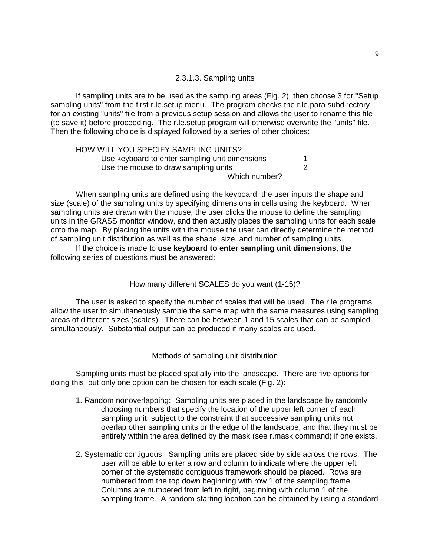## 2.3.1.3. Sampling units

If sampling units are to be used as the sampling areas (Fig. 2), then choose 3 for "Setup sampling units" from the first r.le.setup menu. The program checks the r.le.para subdirectory for an existing "units" file from a previous setup session and allows the user to rename this file (to save it) before proceeding. The r.le.setup program will otherwise overwrite the "units" file. Then the following choice is displayed followed by a series of other choices:

| HOW WILL YOU SPECIFY SAMPLING UNITS?           |  |
|------------------------------------------------|--|
| Use keyboard to enter sampling unit dimensions |  |
| Use the mouse to draw sampling units           |  |
| Which number?                                  |  |

When sampling units are defined using the keyboard, the user inputs the shape and size (scale) of the sampling units by specifying dimensions in cells using the keyboard. When sampling units are drawn with the mouse, the user clicks the mouse to define the sampling units in the GRASS monitor window, and then actually places the sampling units for each scale onto the map. By placing the units with the mouse the user can directly determine the method of sampling unit distribution as well as the shape, size, and number of sampling units.

If the choice is made to **use keyboard to enter sampling unit dimensions**, the following series of questions must be answered:

## How many different SCALES do you want (1-15)?

The user is asked to specify the number of scales that will be used. The r.le programs allow the user to simultaneously sample the same map with the same measures using sampling areas of different sizes (scales). There can be between 1 and 15 scales that can be sampled simultaneously. Substantial output can be produced if many scales are used.

## Methods of sampling unit distribution

Sampling units must be placed spatially into the landscape. There are five options for doing this, but only one option can be chosen for each scale (Fig. 2):

- 1. Random nonoverlapping: Sampling units are placed in the landscape by randomly choosing numbers that specify the location of the upper left corner of each sampling unit, subject to the constraint that successive sampling units not overlap other sampling units or the edge of the landscape, and that they must be entirely within the area defined by the mask (see r.mask command) if one exists.
- 2. Systematic contiguous: Sampling units are placed side by side across the rows. The user will be able to enter a row and column to indicate where the upper left corner of the systematic contiguous framework should be placed. Rows are numbered from the top down beginning with row 1 of the sampling frame. Columns are numbered from left to right, beginning with column 1 of the sampling frame. A random starting location can be obtained by using a standard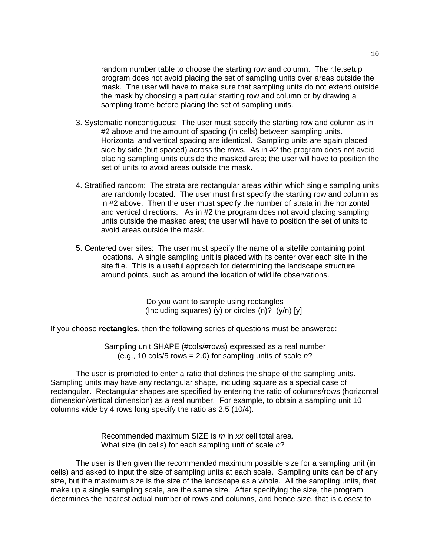random number table to choose the starting row and column. The r.le.setup program does not avoid placing the set of sampling units over areas outside the mask. The user will have to make sure that sampling units do not extend outside the mask by choosing a particular starting row and column or by drawing a sampling frame before placing the set of sampling units.

- 3. Systematic noncontiguous: The user must specify the starting row and column as in #2 above and the amount of spacing (in cells) between sampling units. Horizontal and vertical spacing are identical. Sampling units are again placed side by side (but spaced) across the rows. As in #2 the program does not avoid placing sampling units outside the masked area; the user will have to position the set of units to avoid areas outside the mask.
- 4. Stratified random: The strata are rectangular areas within which single sampling units are randomly located. The user must first specify the starting row and column as in #2 above. Then the user must specify the number of strata in the horizontal and vertical directions. As in #2 the program does not avoid placing sampling units outside the masked area; the user will have to position the set of units to avoid areas outside the mask.
- 5. Centered over sites: The user must specify the name of a sitefile containing point locations. A single sampling unit is placed with its center over each site in the site file. This is a useful approach for determining the landscape structure around points, such as around the location of wildlife observations.

Do you want to sample using rectangles (Including squares) (y) or circles  $(n)$ ? (y/n) [y]

If you choose **rectangles**, then the following series of questions must be answered:

Sampling unit SHAPE (#cols/#rows) expressed as a real number (e.g., 10 cols/5 rows = 2.0) for sampling units of scale *n*?

The user is prompted to enter a ratio that defines the shape of the sampling units. Sampling units may have any rectangular shape, including square as a special case of rectangular. Rectangular shapes are specified by entering the ratio of columns/rows (horizontal dimension/vertical dimension) as a real number. For example, to obtain a sampling unit 10 columns wide by 4 rows long specify the ratio as 2.5 (10/4).

> Recommended maximum SIZE is *m* in *xx* cell total area. What size (in cells) for each sampling unit of scale *n*?

The user is then given the recommended maximum possible size for a sampling unit (in cells) and asked to input the size of sampling units at each scale. Sampling units can be of any size, but the maximum size is the size of the landscape as a whole. All the sampling units, that make up a single sampling scale, are the same size. After specifying the size, the program determines the nearest actual number of rows and columns, and hence size, that is closest to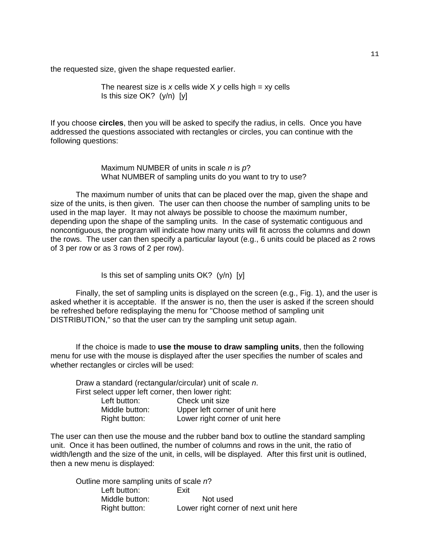the requested size, given the shape requested earlier.

The nearest size is *x* cells wide X *y* cells high = xy cells Is this size OK? (y/n) [y]

If you choose **circles**, then you will be asked to specify the radius, in cells. Once you have addressed the questions associated with rectangles or circles, you can continue with the following questions:

> Maximum NUMBER of units in scale *n* is *p*? What NUMBER of sampling units do you want to try to use?

The maximum number of units that can be placed over the map, given the shape and size of the units, is then given. The user can then choose the number of sampling units to be used in the map layer. It may not always be possible to choose the maximum number, depending upon the shape of the sampling units. In the case of systematic contiguous and noncontiguous, the program will indicate how many units will fit across the columns and down the rows. The user can then specify a particular layout (e.g., 6 units could be placed as 2 rows of 3 per row or as 3 rows of 2 per row).

Is this set of sampling units OK? (y/n) [y]

Finally, the set of sampling units is displayed on the screen (e.g., Fig. 1), and the user is asked whether it is acceptable. If the answer is no, then the user is asked if the screen should be refreshed before redisplaying the menu for "Choose method of sampling unit DISTRIBUTION," so that the user can try the sampling unit setup again.

If the choice is made to **use the mouse to draw sampling units**, then the following menu for use with the mouse is displayed after the user specifies the number of scales and whether rectangles or circles will be used:

| Draw a standard (rectangular/circular) unit of scale n. |
|---------------------------------------------------------|
| First select upper left corner, then lower right:       |
| Check unit size                                         |
| Upper left corner of unit here                          |
| Lower right corner of unit here                         |
|                                                         |

The user can then use the mouse and the rubber band box to outline the standard sampling unit. Once it has been outlined, the number of columns and rows in the unit, the ratio of width/length and the size of the unit, in cells, will be displayed. After this first unit is outlined, then a new menu is displayed:

Outline more sampling units of scale *n*? Left button: Exit Middle button: Not used Right button: Lower right corner of next unit here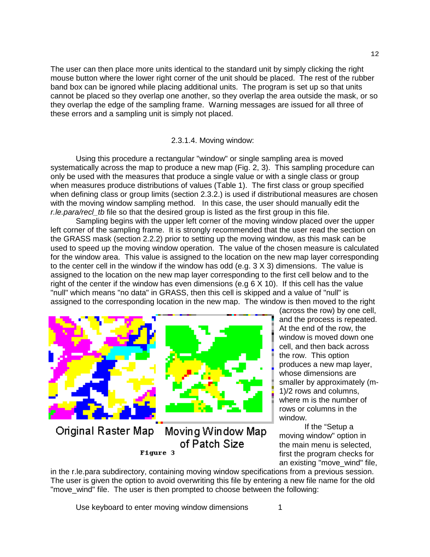The user can then place more units identical to the standard unit by simply clicking the right mouse button where the lower right corner of the unit should be placed. The rest of the rubber band box can be ignored while placing additional units. The program is set up so that units cannot be placed so they overlap one another, so they overlap the area outside the mask, or so they overlap the edge of the sampling frame. Warning messages are issued for all three of these errors and a sampling unit is simply not placed.

## 2.3.1.4. Moving window:

Using this procedure a rectangular "window" or single sampling area is moved systematically across the map to produce a new map (Fig. 2, 3). This sampling procedure can only be used with the measures that produce a single value or with a single class or group when measures produce distributions of values (Table 1). The first class or group specified when defining class or group limits (section 2.3.2.) is used if distributional measures are chosen with the moving window sampling method. In this case, the user should manually edit the *r.le.para/recl\_tb* file so that the desired group is listed as the first group in this file.

Sampling begins with the upper left corner of the moving window placed over the upper left corner of the sampling frame. It is strongly recommended that the user read the section on the GRASS mask (section 2.2.2) prior to setting up the moving window, as this mask can be used to speed up the moving window operation. The value of the chosen measure is calculated for the window area. This value is assigned to the location on the new map layer corresponding to the center cell in the window if the window has odd (e.g.  $3 \times 3$ ) dimensions. The value is assigned to the location on the new map layer corresponding to the first cell below and to the right of the center if the window has even dimensions (e.g 6 X 10). If this cell has the value "null" which means "no data" in GRASS, then this cell is skipped and a value of "null" is assigned to the corresponding location in the new map. The window is then moved to the right



Figure 3

and the process is repeated. At the end of the row, the window is moved down one cell, and then back across the row. This option produces a new map layer, whose dimensions are smaller by approximately (m-1)/2 rows and columns, where m is the number of rows or columns in the window.

(across the row) by one cell,

If the "Setup a moving window" option in the main menu is selected, first the program checks for an existing "move\_wind" file,

in the r.le.para subdirectory, containing moving window specifications from a previous session. The user is given the option to avoid overwriting this file by entering a new file name for the old "move wind" file. The user is then prompted to choose between the following:

Use keyboard to enter moving window dimensions 1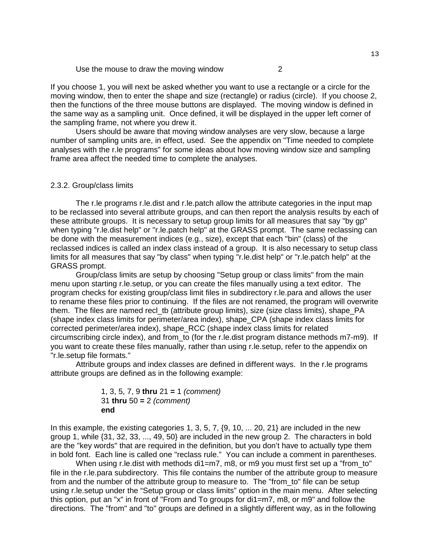Use the mouse to draw the moving window 2

If you choose 1, you will next be asked whether you want to use a rectangle or a circle for the moving window, then to enter the shape and size (rectangle) or radius (circle). If you choose 2, then the functions of the three mouse buttons are displayed. The moving window is defined in the same way as a sampling unit. Once defined, it will be displayed in the upper left corner of the sampling frame, not where you drew it.

Users should be aware that moving window analyses are very slow, because a large number of sampling units are, in effect, used. See the appendix on "Time needed to complete analyses with the r.le programs" for some ideas about how moving window size and sampling frame area affect the needed time to complete the analyses.

#### 2.3.2. Group/class limits

The r.le programs r.le.dist and r.le.patch allow the attribute categories in the input map to be reclassed into several attribute groups, and can then report the analysis results by each of these attribute groups. It is necessary to setup group limits for all measures that say "by gp" when typing "r.le.dist help" or "r.le.patch help" at the GRASS prompt. The same reclassing can be done with the measurement indices (e.g., size), except that each "bin" (class) of the reclassed indices is called an index class instead of a group. It is also necessary to setup class limits for all measures that say "by class" when typing "r.le.dist help" or "r.le.patch help" at the GRASS prompt.

Group/class limits are setup by choosing "Setup group or class limits" from the main menu upon starting r.le.setup, or you can create the files manually using a text editor. The program checks for existing group/class limit files in subdirectory r.le.para and allows the user to rename these files prior to continuing. If the files are not renamed, the program will overwrite them. The files are named recl tb (attribute group limits), size (size class limits), shape PA (shape index class limits for perimeter/area index), shape\_CPA (shape index class limits for corrected perimeter/area index), shape\_RCC (shape index class limits for related circumscribing circle index), and from\_to (for the r.le.dist program distance methods m7-m9). If you want to create these files manually, rather than using r.le.setup, refer to the appendix on "r.le.setup file formats."

Attribute groups and index classes are defined in different ways. In the r.le programs attribute groups are defined as in the following example:

1, 3, 5, 7, 9 **thru** 
$$
21 = 1
$$
 (*comment*)  
31 **thru**  $50 = 2$  (*comment*)  
**end**

In this example, the existing categories 1, 3, 5, 7, {9, 10, ... 20, 21} are included in the new group 1, while {31, 32, 33, ..., 49, 50} are included in the new group 2. The characters in bold are the "key words" that are required in the definition, but you don't have to actually type them in bold font. Each line is called one "reclass rule." You can include a comment in parentheses.

When using r.le.dist with methods  $di = m7$ , m8, or m9 you must first set up a "from to" file in the r.le.para subdirectory. This file contains the number of the attribute group to measure from and the number of the attribute group to measure to. The "from\_to" file can be setup using r.le.setup under the "Setup group or class limits" option in the main menu. After selecting this option, put an "x" in front of "From and To groups for di1=m7, m8, or m9" and follow the directions. The "from" and "to" groups are defined in a slightly different way, as in the following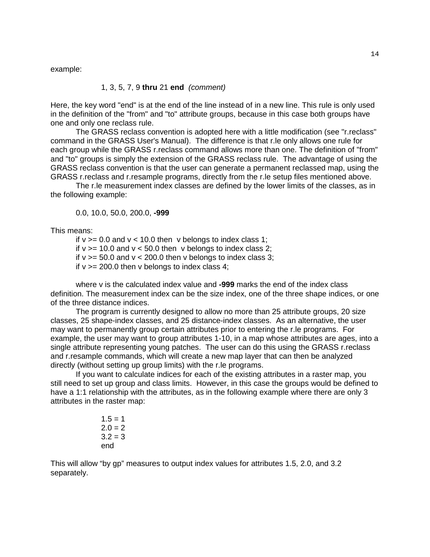example:

#### 1, 3, 5, 7, 9 **thru** 21 **end** *(comment)*

Here, the key word "end" is at the end of the line instead of in a new line. This rule is only used in the definition of the "from" and "to" attribute groups, because in this case both groups have one and only one reclass rule.

The GRASS reclass convention is adopted here with a little modification (see "r.reclass" command in the GRASS User's Manual). The difference is that r.le only allows one rule for each group while the GRASS r.reclass command allows more than one. The definition of "from" and "to" groups is simply the extension of the GRASS reclass rule. The advantage of using the GRASS reclass convention is that the user can generate a permanent reclassed map, using the GRASS r.reclass and r.resample programs, directly from the r.le setup files mentioned above.

The r.le measurement index classes are defined by the lower limits of the classes, as in the following example:

0.0, 10.0, 50.0, 200.0, **-999**

This means:

if  $v \ge 0.0$  and  $v < 10.0$  then v belongs to index class 1; if  $v \ge 10.0$  and  $v \le 50.0$  then v belongs to index class 2; if  $v \ge 50.0$  and  $v < 200.0$  then v belongs to index class 3; if  $v \ge 200.0$  then v belongs to index class 4;

where v is the calculated index value and **-999** marks the end of the index class definition. The measurement index can be the size index, one of the three shape indices, or one of the three distance indices.

The program is currently designed to allow no more than 25 attribute groups, 20 size classes, 25 shape-index classes, and 25 distance-index classes. As an alternative, the user may want to permanently group certain attributes prior to entering the r.le programs. For example, the user may want to group attributes 1-10, in a map whose attributes are ages, into a single attribute representing young patches. The user can do this using the GRASS r.reclass and r.resample commands, which will create a new map layer that can then be analyzed directly (without setting up group limits) with the r.le programs.

If you want to calculate indices for each of the existing attributes in a raster map, you still need to set up group and class limits. However, in this case the groups would be defined to have a 1:1 relationship with the attributes, as in the following example where there are only 3 attributes in the raster map:

> $1.5 = 1$  $2.0 = 2$  $3.2 = 3$ end

This will allow "by gp" measures to output index values for attributes 1.5, 2.0, and 3.2 separately.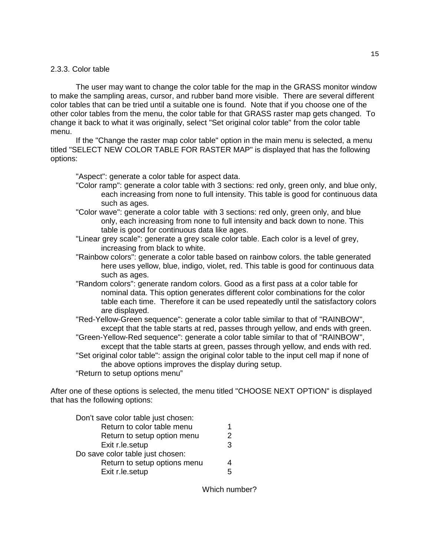#### 2.3.3. Color table

The user may want to change the color table for the map in the GRASS monitor window to make the sampling areas, cursor, and rubber band more visible. There are several different color tables that can be tried until a suitable one is found. Note that if you choose one of the other color tables from the menu, the color table for that GRASS raster map gets changed. To change it back to what it was originally, select "Set original color table" from the color table menu.

If the "Change the raster map color table" option in the main menu is selected, a menu titled "SELECT NEW COLOR TABLE FOR RASTER MAP" is displayed that has the following options:

"Aspect": generate a color table for aspect data.

- "Color ramp": generate a color table with 3 sections: red only, green only, and blue only, each increasing from none to full intensity. This table is good for continuous data such as ages.
- "Color wave": generate a color table with 3 sections: red only, green only, and blue only, each increasing from none to full intensity and back down to none. This table is good for continuous data like ages.
- "Linear grey scale": generate a grey scale color table. Each color is a level of grey, increasing from black to white.
- "Rainbow colors": generate a color table based on rainbow colors. the table generated here uses yellow, blue, indigo, violet, red. This table is good for continuous data such as ages.
- "Random colors": generate random colors. Good as a first pass at a color table for nominal data. This option generates different color combinations for the color table each time. Therefore it can be used repeatedly until the satisfactory colors are displayed.
- "Red-Yellow-Green sequence": generate a color table similar to that of "RAINBOW", except that the table starts at red, passes through yellow, and ends with green.
- "Green-Yellow-Red sequence": generate a color table similar to that of "RAINBOW", except that the table starts at green, passes through yellow, and ends with red. "Set original color table": assign the original color table to the input cell map if none of the above options improves the display during setup.
- "Return to setup options menu"

After one of these options is selected, the menu titled "CHOOSE NEXT OPTION" is displayed that has the following options:

| Don't save color table just chosen: |   |
|-------------------------------------|---|
| Return to color table menu          | 1 |
| Return to setup option menu         | 2 |
| Exit r.le.setup                     | 3 |
| Do save color table just chosen:    |   |
| Return to setup options menu        |   |
| Exit r.le.setup                     | 5 |

Which number?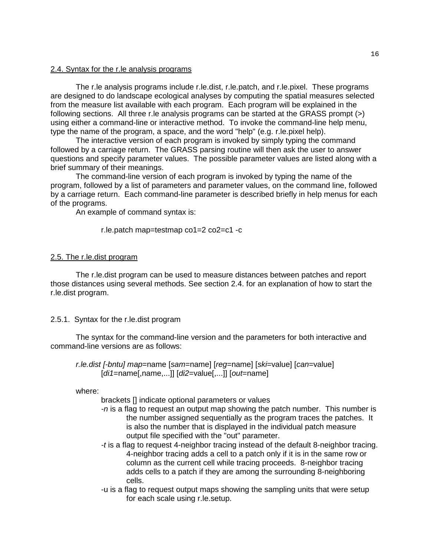## 2.4. Syntax for the r.le analysis programs

The r.le analysis programs include r.le.dist, r.le.patch, and r.le.pixel. These programs are designed to do landscape ecological analyses by computing the spatial measures selected from the measure list available with each program. Each program will be explained in the following sections. All three r.le analysis programs can be started at the GRASS prompt (>) using either a command-line or interactive method. To invoke the command-line help menu, type the name of the program, a space, and the word "help" (e.g. r.le.pixel help).

The interactive version of each program is invoked by simply typing the command followed by a carriage return. The GRASS parsing routine will then ask the user to answer questions and specify parameter values. The possible parameter values are listed along with a brief summary of their meanings.

 The command-line version of each program is invoked by typing the name of the program, followed by a list of parameters and parameter values, on the command line, followed by a carriage return. Each command-line parameter is described briefly in help menus for each of the programs.

An example of command syntax is:

#### r.le.patch map=testmap co1=2 co2=c1 -c

#### 2.5. The r.le.dist program

The r.le.dist program can be used to measure distances between patches and report those distances using several methods. See section 2.4. for an explanation of how to start the r.le.dist program.

#### 2.5.1. Syntax for the r.le.dist program

The syntax for the command-line version and the parameters for both interactive and command-line versions are as follows:

*r.le.dist [-bntu] map*=name [*sam*=name] [*reg*=name] [*ski*=value] [*can*=value] [*di1*=name[,name,...]] [*di2*=value[,...]] [*out*=name]

where:

brackets [] indicate optional parameters or values

- *-n* is a flag to request an output map showing the patch number. This number is the number assigned sequentially as the program traces the patches. It is also the number that is displayed in the individual patch measure output file specified with the "out" parameter.
- *-t* is a flag to request 4-neighbor tracing instead of the default 8-neighbor tracing. 4-neighbor tracing adds a cell to a patch only if it is in the same row or column as the current cell while tracing proceeds. 8-neighbor tracing adds cells to a patch if they are among the surrounding 8-neighboring cells.
- -u is a flag to request output maps showing the sampling units that were setup for each scale using r.le.setup.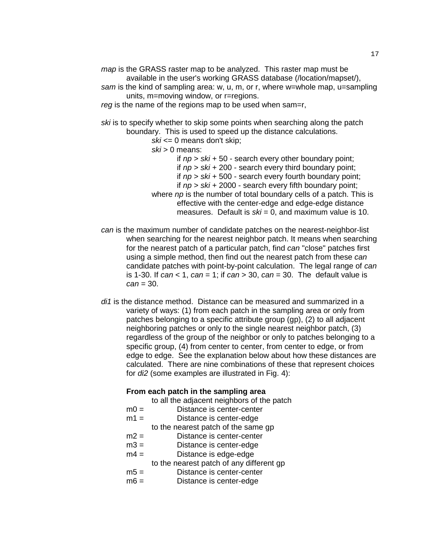*map* is the GRASS raster map to be analyzed. This raster map must be available in the user's working GRASS database (/location/mapset/), *sam* is the kind of sampling area: w, u, m, or r, where w=whole map, u=sampling

units, m=moving window, or r=regions.

*reg* is the name of the regions map to be used when sam=r,

*ski* is to specify whether to skip some points when searching along the patch boundary. This is used to speed up the distance calculations.

*ski* <= 0 means don't skip;

*ski* > 0 means:

if *np* > *ski* + 50 - search every other boundary point;

if *np* > *ski* + 200 - search every third boundary point;

if *np* > *ski* + 500 - search every fourth boundary point;

if *np* > *ski* + 2000 - search every fifth boundary point;

- where *np* is the number of total boundary cells of a patch. This is effective with the center-edge and edge-edge distance measures. Default is *ski* = 0, and maximum value is 10.
- *can* is the maximum number of candidate patches on the nearest-neighbor-list when searching for the nearest neighbor patch. It means when searching for the nearest patch of a particular patch, find *can* "close" patches first using a simple method, then find out the nearest patch from these *can* candidate patches with point-by-point calculation. The legal range of *can* is 1-30. If *can* < 1, *can* = 1; if *can* > 30, *can* = 30. The default value is *can* = 30.
- *di1* is the distance method. Distance can be measured and summarized in a variety of ways: (1) from each patch in the sampling area or only from patches belonging to a specific attribute group (gp), (2) to all adjacent neighboring patches or only to the single nearest neighbor patch, (3) regardless of the group of the neighbor or only to patches belonging to a specific group, (4) from center to center, from center to edge, or from edge to edge. See the explanation below about how these distances are calculated. There are nine combinations of these that represent choices for *di2* (some examples are illustrated in Fig. 4):

## **From each patch in the sampling area**

to all the adjacent neighbors of the patch

- $m0 =$  Distance is center-center
- m1 = Distance is center-edge to the nearest patch of the same gp
- m2 = Distance is center-center
- m3 = Distance is center-edge
- $m4 =$  Distance is edge-edge
	- to the nearest patch of any different gp
- m5 = Distance is center-center
- $m6 =$  Distance is center-edge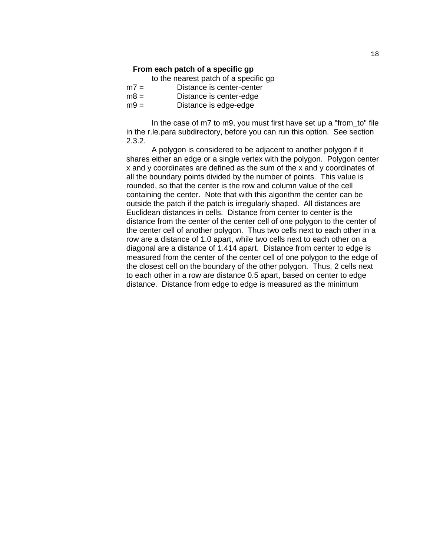#### **From each patch of a specific gp**

to the nearest patch of a specific gp

| $m =$  | Distance is center-center |
|--------|---------------------------|
| $m8 =$ | Distance is center-edge   |
| $mg =$ | Distance is edge-edge     |

In the case of m7 to m9, you must first have set up a "from\_to" file in the r.le.para subdirectory, before you can run this option. See section 2.3.2.

A polygon is considered to be adjacent to another polygon if it shares either an edge or a single vertex with the polygon. Polygon center x and y coordinates are defined as the sum of the x and y coordinates of all the boundary points divided by the number of points. This value is rounded, so that the center is the row and column value of the cell containing the center. Note that with this algorithm the center can be outside the patch if the patch is irregularly shaped. All distances are Euclidean distances in cells. Distance from center to center is the distance from the center of the center cell of one polygon to the center of the center cell of another polygon. Thus two cells next to each other in a row are a distance of 1.0 apart, while two cells next to each other on a diagonal are a distance of 1.414 apart. Distance from center to edge is measured from the center of the center cell of one polygon to the edge of the closest cell on the boundary of the other polygon. Thus, 2 cells next to each other in a row are distance 0.5 apart, based on center to edge distance. Distance from edge to edge is measured as the minimum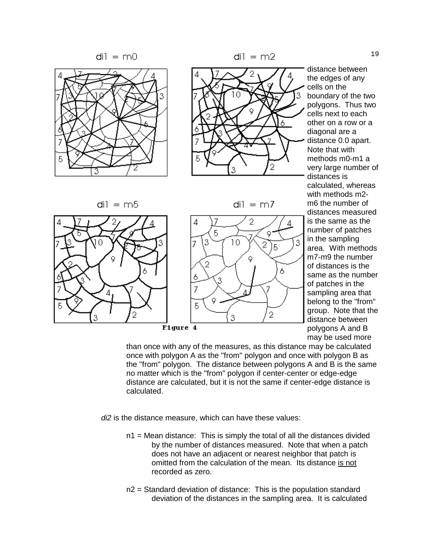

di1 = m5



di $l = m$ 7

3



Figure 4

distance between the edges of any cells on the boundary of the two polygons. Thus two cells next to each other on a row or a diagonal are a distance 0.0 apart. Note that with methods m0-m1 a very large number of distances is calculated, whereas with methods m2 m6 the number of distances measured is the same as the number of patches in the sampling area. With methods m7-m9 the number of distances is the same as the number of patches in the sampling area that belong to the "from" group. Note that the distance between polygons A and B may be used more

than once with any of the measures, as this distance may be calculated once with polygon A as the "from" polygon and once with polygon B as the "from" polygon. The distance between polygons A and B is the same no matter which is the "from" polygon if center-center or edge-edge distance are calculated, but it is not the same if center-edge distance is calculated.

*di2* is the distance measure, which can have these values:

- n1 = Mean distance: This is simply the total of all the distances divided by the number of distances measured. Note that when a patch does not have an adjacent or nearest neighbor that patch is omitted from the calculation of the mean. Its distance is not recorded as zero.
- n2 = Standard deviation of distance: This is the population standard deviation of the distances in the sampling area. It is calculated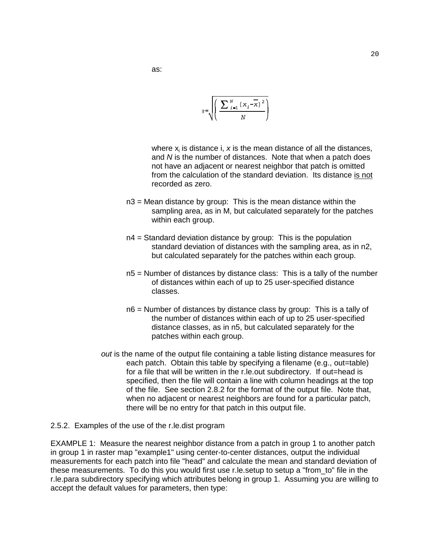$$
s = \sqrt{\left(\frac{\sum_{i=1}^{N} (x_i - \overline{x})^2}{N}\right)}
$$

where  $x_i$  is distance i,  $x$  is the mean distance of all the distances, and *N* is the number of distances. Note that when a patch does not have an adjacent or nearest neighbor that patch is omitted from the calculation of the standard deviation. Its distance is not recorded as zero.

- $n3$  = Mean distance by group: This is the mean distance within the sampling area, as in M, but calculated separately for the patches within each group.
- n4 = Standard deviation distance by group: This is the population standard deviation of distances with the sampling area, as in n2, but calculated separately for the patches within each group.
- n5 = Number of distances by distance class: This is a tally of the number of distances within each of up to 25 user-specified distance classes.
- n6 = Number of distances by distance class by group: This is a tally of the number of distances within each of up to 25 user-specified distance classes, as in n5, but calculated separately for the patches within each group.
- *out* is the name of the output file containing a table listing distance measures for each patch. Obtain this table by specifying a filename (e.g., out=table) for a file that will be written in the r.le.out subdirectory. If out=head is specified, then the file will contain a line with column headings at the top of the file. See section 2.8.2 for the format of the output file. Note that, when no adjacent or nearest neighbors are found for a particular patch, there will be no entry for that patch in this output file.
- 2.5.2. Examples of the use of the r.le.dist program

EXAMPLE 1: Measure the nearest neighbor distance from a patch in group 1 to another patch in group 1 in raster map "example1" using center-to-center distances, output the individual measurements for each patch into file "head" and calculate the mean and standard deviation of these measurements. To do this you would first use r.le.setup to setup a "from\_to" file in the r.le.para subdirectory specifying which attributes belong in group 1. Assuming you are willing to accept the default values for parameters, then type: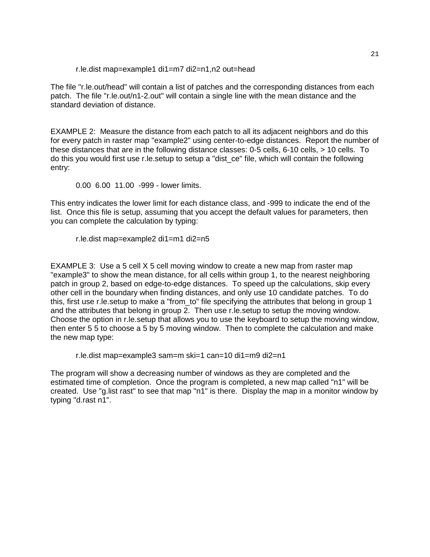r.le.dist map=example1 di1=m7 di2=n1,n2 out=head

The file "r.le.out/head" will contain a list of patches and the corresponding distances from each patch. The file "r.le.out/n1-2.out" will contain a single line with the mean distance and the standard deviation of distance.

EXAMPLE 2: Measure the distance from each patch to all its adjacent neighbors and do this for every patch in raster map "example2" using center-to-edge distances. Report the number of these distances that are in the following distance classes: 0-5 cells, 6-10 cells, > 10 cells. To do this you would first use r.le.setup to setup a "dist\_ce" file, which will contain the following entry:

0.00 6.00 11.00 -999 - lower limits.

This entry indicates the lower limit for each distance class, and -999 to indicate the end of the list. Once this file is setup, assuming that you accept the default values for parameters, then you can complete the calculation by typing:

r.le.dist map=example2 di1=m1 di2=n5

EXAMPLE 3: Use a 5 cell X 5 cell moving window to create a new map from raster map "example3" to show the mean distance, for all cells within group 1, to the nearest neighboring patch in group 2, based on edge-to-edge distances. To speed up the calculations, skip every other cell in the boundary when finding distances, and only use 10 candidate patches. To do this, first use r.le.setup to make a "from\_to" file specifying the attributes that belong in group 1 and the attributes that belong in group 2. Then use r.le.setup to setup the moving window. Choose the option in r.le.setup that allows you to use the keyboard to setup the moving window, then enter 5 5 to choose a 5 by 5 moving window. Then to complete the calculation and make the new map type:

r.le.dist map=example3 sam=m ski=1 can=10 di1=m9 di2=n1

The program will show a decreasing number of windows as they are completed and the estimated time of completion. Once the program is completed, a new map called "n1" will be created. Use "g.list rast" to see that map "n1" is there. Display the map in a monitor window by typing "d.rast n1".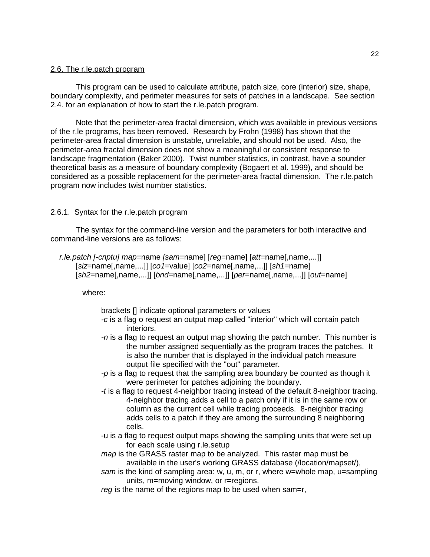#### 2.6. The r.le.patch program

This program can be used to calculate attribute, patch size, core (interior) size, shape, boundary complexity, and perimeter measures for sets of patches in a landscape. See section 2.4. for an explanation of how to start the r.le.patch program.

Note that the perimeter-area fractal dimension, which was available in previous versions of the r.le programs, has been removed. Research by Frohn (1998) has shown that the perimeter-area fractal dimension is unstable, unreliable, and should not be used. Also, the perimeter-area fractal dimension does not show a meaningful or consistent response to landscape fragmentation (Baker 2000). Twist number statistics, in contrast, have a sounder theoretical basis as a measure of boundary complexity (Bogaert et al. 1999), and should be considered as a possible replacement for the perimeter-area fractal dimension. The r.le.patch program now includes twist number statistics.

## 2.6.1. Syntax for the r.le.patch program

The syntax for the command-line version and the parameters for both interactive and command-line versions are as follows:

```
 r.le.patch [-cnptu] map=name [sam=name] [reg=name] [att=name[,name,...]]
     [siz=name[,name,...]] [co1=value] [co2=name[,name,...]] [sh1=name]
     [sh2=name[,name,...]] [bnd=name[,name,...]] [per=name[,name,...]] [out=name]
```
where:

brackets [] indicate optional parameters or values

- *-c* is a flag o request an output map called "interior" which will contain patch interiors.
- *-n* is a flag to request an output map showing the patch number. This number is the number assigned sequentially as the program traces the patches. It is also the number that is displayed in the individual patch measure output file specified with the "out" parameter.
- *-p* is a flag to request that the sampling area boundary be counted as though it were perimeter for patches adjoining the boundary.
- *-t* is a flag to request 4-neighbor tracing instead of the default 8-neighbor tracing. 4-neighbor tracing adds a cell to a patch only if it is in the same row or column as the current cell while tracing proceeds. 8-neighbor tracing adds cells to a patch if they are among the surrounding 8 neighboring cells.
- -u is a flag to request output maps showing the sampling units that were set up for each scale using r.le.setup
- *map* is the GRASS raster map to be analyzed. This raster map must be available in the user's working GRASS database (/location/mapset/),
- *sam* is the kind of sampling area: w, u, m, or r, where w=whole map, u=sampling units, m=moving window, or r=regions.
- *reg* is the name of the regions map to be used when sam=r,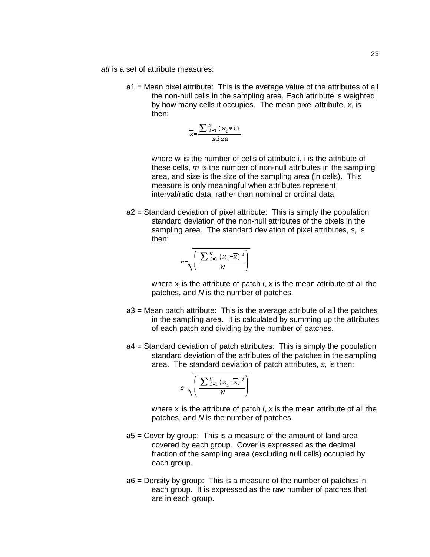- *att* is a set of attribute measures:
	- a1 = Mean pixel attribute: This is the average value of the attributes of all the non-null cells in the sampling area. Each attribute is weighted by how many cells it occupies. The mean pixel attribute, *x*, is then:

$$
\overline{x} = \frac{\sum_{i=1}^{m} (w_i * i)}{size}
$$

where  $w_i$  is the number of cells of attribute i, i is the attribute of these cells, *m* is the number of non-null attributes in the sampling area, and size is the size of the sampling area (in cells). This measure is only meaningful when attributes represent interval/ratio data, rather than nominal or ordinal data.

> a2 = Standard deviation of pixel attribute: This is simply the population standard deviation of the non-null attributes of the pixels in the sampling area. The standard deviation of pixel attributes, *s*, is then:

$$
S=\sqrt{\left(\frac{\sum_{i=1}^{N}(x_i-\overline{x})^2}{N}\right)}
$$

where  $x_i$  is the attribute of patch *i*,  $x$  is the mean attribute of all the patches, and *N* is the number of patches.

- a3 = Mean patch attribute: This is the average attribute of all the patches in the sampling area. It is calculated by summing up the attributes of each patch and dividing by the number of patches.
- a4 = Standard deviation of patch attributes: This is simply the population standard deviation of the attributes of the patches in the sampling area. The standard deviation of patch attributes, *s*, is then:

$$
S = \sqrt{\left(\frac{\sum_{i=1}^{N} (x_i - \overline{x})^2}{N}\right)}
$$

where  $x_i$  is the attribute of patch *i*,  $x$  is the mean attribute of all the patches, and *N* is the number of patches.

- a5 = Cover by group: This is a measure of the amount of land area covered by each group. Cover is expressed as the decimal fraction of the sampling area (excluding null cells) occupied by each group.
- a6 = Density by group: This is a measure of the number of patches in each group. It is expressed as the raw number of patches that are in each group.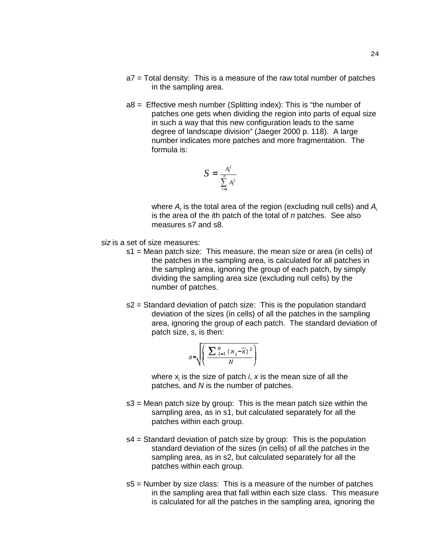- a7 = Total density: This is a measure of the raw total number of patches in the sampling area.
- a8 = Effective mesh number (Splitting index): This is "the number of patches one gets when dividing the region into parts of equal size in such a way that this new configuration leads to the same degree of landscape division" (Jaeger 2000 p. 118). A large number indicates more patches and more fragmentation. The formula is:

$$
S = \frac{A_t^2}{\sum_{i=1}^n A_i^2}
$$

where  $A_t$  is the total area of the region (excluding null cells) and  $A_t$ is the area of the *i*th patch of the total of *n* patches. See also measures s7 and s8.

- *siz* is a set of size measures:
	- s1 = Mean patch size: This measure, the mean size or area (in cells) of the patches in the sampling area, is calculated for all patches in the sampling area, ignoring the group of each patch, by simply dividing the sampling area size (excluding null cells) by the number of patches.
	- s2 = Standard deviation of patch size: This is the population standard deviation of the sizes (in cells) of all the patches in the sampling area, ignoring the group of each patch. The standard deviation of patch size, *s*, is then:

$$
S = \sqrt{\left(\frac{\sum_{i=1}^{N} (x_i - \overline{x})^2}{N}\right)}
$$

where  $x_i$  is the size of patch *i*,  $x$  is the mean size of all the patches, and *N* is the number of patches.

- s3 = Mean patch size by group: This is the mean patch size within the sampling area, as in s1, but calculated separately for all the patches within each group.
- s4 = Standard deviation of patch size by group: This is the population standard deviation of the sizes (in cells) of all the patches in the sampling area, as in s2, but calculated separately for all the patches within each group.
- s5 = Number by size class: This is a measure of the number of patches in the sampling area that fall within each size class. This measure is calculated for all the patches in the sampling area, ignoring the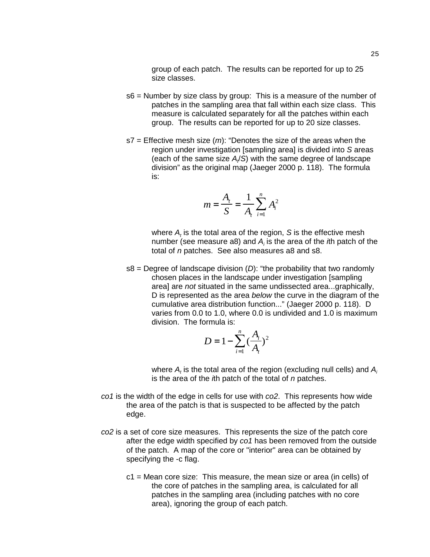group of each patch. The results can be reported for up to 25 size classes.

- s6 = Number by size class by group: This is a measure of the number of patches in the sampling area that fall within each size class. This measure is calculated separately for all the patches within each group. The results can be reported for up to 20 size classes.
- s7 = Effective mesh size (*m*): "Denotes the size of the areas when the region under investigation [sampling area] is divided into *S* areas (each of the same size A/S) with the same degree of landscape division" as the original map (Jaeger 2000 p. 118). The formula is:

$$
m = \frac{A_t}{S} = \frac{1}{A_t} \sum_{i=1}^{n} A_i^2
$$

where  $A_t$  is the total area of the region,  ${\cal S}$  is the effective mesh number (see measure a8) and A<sub>i</sub> is the area of the *i*th patch of the total of *n* patches. See also measures a8 and s8.

s8 = Degree of landscape division (*D*): "the probability that two randomly chosen places in the landscape under investigation [sampling area] are *not* situated in the same undissected area...graphically, D is represented as the area *below* the curve in the diagram of the cumulative area distribution function..." (Jaeger 2000 p. 118). D varies from 0.0 to 1.0, where 0.0 is undivided and 1.0 is maximum division. The formula is:

$$
D = 1 - \sum_{i=1}^{n} \left(\frac{A_i}{A_t}\right)^2
$$

where  $A_t$  is the total area of the region (excluding null cells) and  $A_t$ is the area of the *i*th patch of the total of *n* patches.

- *co1* is the width of the edge in cells for use with *co2*. This represents how wide the area of the patch is that is suspected to be affected by the patch edge.
- *co2* is a set of core size measures. This represents the size of the patch core after the edge width specified by *co1* has been removed from the outside of the patch. A map of the core or "interior" area can be obtained by specifying the -c flag.
	- $c1$  = Mean core size: This measure, the mean size or area (in cells) of the core of patches in the sampling area, is calculated for all patches in the sampling area (including patches with no core area), ignoring the group of each patch.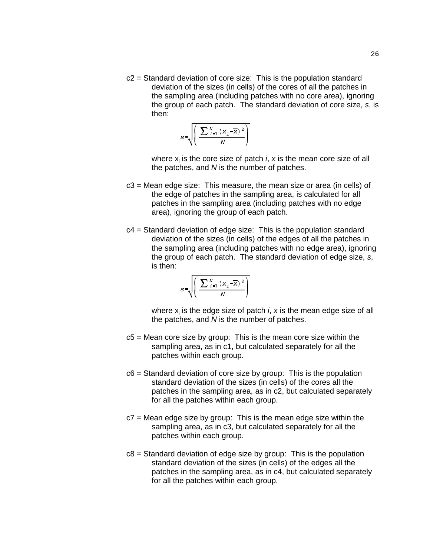c2 = Standard deviation of core size: This is the population standard deviation of the sizes (in cells) of the cores of all the patches in the sampling area (including patches with no core area), ignoring the group of each patch. The standard deviation of core size, *s*, is then:

$$
S = \sqrt{\left(\frac{\sum_{i=1}^{N} (x_i - \overline{x})^2}{N}\right)}
$$

where  $x_i$  is the core size of patch *i*,  $x$  is the mean core size of all the patches, and *N* is the number of patches.

- c3 = Mean edge size: This measure, the mean size or area (in cells) of the edge of patches in the sampling area, is calculated for all patches in the sampling area (including patches with no edge area), ignoring the group of each patch.
- c4 = Standard deviation of edge size: This is the population standard deviation of the sizes (in cells) of the edges of all the patches in the sampling area (including patches with no edge area), ignoring the group of each patch. The standard deviation of edge size, *s*, is then:

$$
S = \sqrt{\left(\frac{\sum_{i=1}^{N} (x_i - \overline{x})^2}{N}\right)}
$$

where x<sub>i</sub> is the edge size of patch *i*, x is the mean edge size of all the patches, and *N* is the number of patches.

- c5 = Mean core size by group: This is the mean core size within the sampling area, as in c1, but calculated separately for all the patches within each group.
- c6 = Standard deviation of core size by group: This is the population standard deviation of the sizes (in cells) of the cores all the patches in the sampling area, as in c2, but calculated separately for all the patches within each group.
- $c7$  = Mean edge size by group: This is the mean edge size within the sampling area, as in c3, but calculated separately for all the patches within each group.
- c8 = Standard deviation of edge size by group: This is the population standard deviation of the sizes (in cells) of the edges all the patches in the sampling area, as in c4, but calculated separately for all the patches within each group.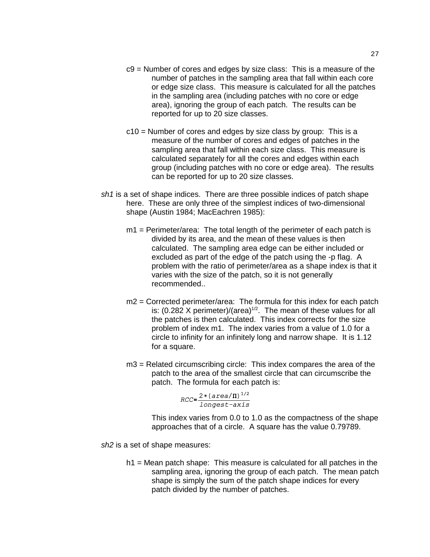- c9 = Number of cores and edges by size class: This is a measure of the number of patches in the sampling area that fall within each core or edge size class. This measure is calculated for all the patches in the sampling area (including patches with no core or edge area), ignoring the group of each patch. The results can be reported for up to 20 size classes.
- c10 = Number of cores and edges by size class by group: This is a measure of the number of cores and edges of patches in the sampling area that fall within each size class. This measure is calculated separately for all the cores and edges within each group (including patches with no core or edge area). The results can be reported for up to 20 size classes.
- *sh1* is a set of shape indices. There are three possible indices of patch shape here. These are only three of the simplest indices of two-dimensional shape (Austin 1984; MacEachren 1985):
	- m1 = Perimeter/area: The total length of the perimeter of each patch is divided by its area, and the mean of these values is then calculated. The sampling area edge can be either included or excluded as part of the edge of the patch using the -p flag. A problem with the ratio of perimeter/area as a shape index is that it varies with the size of the patch, so it is not generally recommended..
	- m2 = Corrected perimeter/area: The formula for this index for each patch is:  $(0.282 \times \text{perimeter})/(area)^{1/2}$ . The mean of these values for all the patches is then calculated. This index corrects for the size problem of index m1. The index varies from a value of 1.0 for a circle to infinity for an infinitely long and narrow shape. It is 1.12 for a square.
	- m3 = Related circumscribing circle: This index compares the area of the patch to the area of the smallest circle that can circumscribe the patch. The formula for each patch is:

$$
RCC = \frac{2 * (area/\Pi)^{1/2}}{longest-axis}
$$

This index varies from 0.0 to 1.0 as the compactness of the shape approaches that of a circle. A square has the value 0.79789.

*sh2* is a set of shape measures:

h1 = Mean patch shape: This measure is calculated for all patches in the sampling area, ignoring the group of each patch. The mean patch shape is simply the sum of the patch shape indices for every patch divided by the number of patches.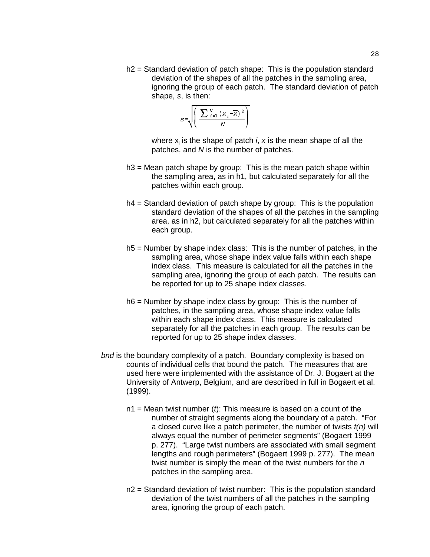h2 = Standard deviation of patch shape: This is the population standard deviation of the shapes of all the patches in the sampling area, ignoring the group of each patch. The standard deviation of patch shape, *s*, is then:

$$
S = \sqrt{\left(\frac{\sum_{i=1}^{N} (x_i - \overline{x})^2}{N}\right)}
$$

where x<sub>i</sub> is the shape of patch *i*, *x* is the mean shape of all the patches, and *N* is the number of patches.

- h3 = Mean patch shape by group: This is the mean patch shape within the sampling area, as in h1, but calculated separately for all the patches within each group.
- h4 = Standard deviation of patch shape by group: This is the population standard deviation of the shapes of all the patches in the sampling area, as in h2, but calculated separately for all the patches within each group.
- h5 = Number by shape index class: This is the number of patches, in the sampling area, whose shape index value falls within each shape index class. This measure is calculated for all the patches in the sampling area, ignoring the group of each patch. The results can be reported for up to 25 shape index classes.
- h6 = Number by shape index class by group: This is the number of patches, in the sampling area, whose shape index value falls within each shape index class. This measure is calculated separately for all the patches in each group. The results can be reported for up to 25 shape index classes.
- *bnd* is the boundary complexity of a patch. Boundary complexity is based on counts of individual cells that bound the patch. The measures that are used here were implemented with the assistance of Dr. J. Bogaert at the University of Antwerp, Belgium, and are described in full in Bogaert et al. (1999).
	- n1 = Mean twist number (*t*): This measure is based on a count of the number of straight segments along the boundary of a patch. "For a closed curve like a patch perimeter, the number of twists *t(n)* will always equal the number of perimeter segments" (Bogaert 1999 p. 277). "Large twist numbers are associated with small segment lengths and rough perimeters" (Bogaert 1999 p. 277). The mean twist number is simply the mean of the twist numbers for the *n* patches in the sampling area.
	- n2 = Standard deviation of twist number: This is the population standard deviation of the twist numbers of all the patches in the sampling area, ignoring the group of each patch.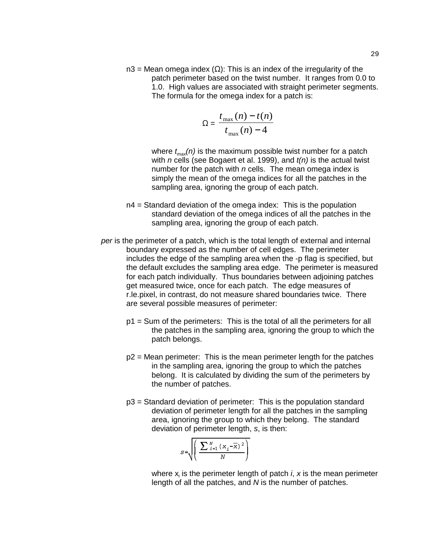$n3$  = Mean omega index ( $\Omega$ ): This is an index of the irregularity of the

patch perimeter based on the twist number. It ranges from 0.0 to 1.0. High values are associated with straight perimeter segments. The formula for the omega index for a patch is:

$$
\Omega = \frac{t_{\text{max}}(n) - t(n)}{t_{\text{max}}(n) - 4}
$$

where  $t_{max}(n)$  is the maximum possible twist number for a patch with *n* cells (see Bogaert et al. 1999), and *t(n)* is the actual twist number for the patch with *n* cells. The mean omega index is simply the mean of the omega indices for all the patches in the sampling area, ignoring the group of each patch.

- n4 = Standard deviation of the omega index: This is the population standard deviation of the omega indices of all the patches in the sampling area, ignoring the group of each patch.
- *per* is the perimeter of a patch, which is the total length of external and internal boundary expressed as the number of cell edges. The perimeter includes the edge of the sampling area when the -p flag is specified, but the default excludes the sampling area edge. The perimeter is measured for each patch individually. Thus boundaries between adjoining patches get measured twice, once for each patch. The edge measures of r.le.pixel, in contrast, do not measure shared boundaries twice. There are several possible measures of perimeter:
	- p1 = Sum of the perimeters: This is the total of all the perimeters for all the patches in the sampling area, ignoring the group to which the patch belongs.
	- p2 = Mean perimeter: This is the mean perimeter length for the patches in the sampling area, ignoring the group to which the patches belong. It is calculated by dividing the sum of the perimeters by the number of patches.
	- p3 = Standard deviation of perimeter: This is the population standard deviation of perimeter length for all the patches in the sampling area, ignoring the group to which they belong. The standard deviation of perimeter length, *s*, is then:

$$
S = \sqrt{\left(\frac{\sum_{i=1}^{N} (x_i - \overline{x})^2}{N}\right)}
$$

where x<sub>i</sub> is the perimeter length of patch *i*, *x* is the mean perimeter length of all the patches, and *N* is the number of patches.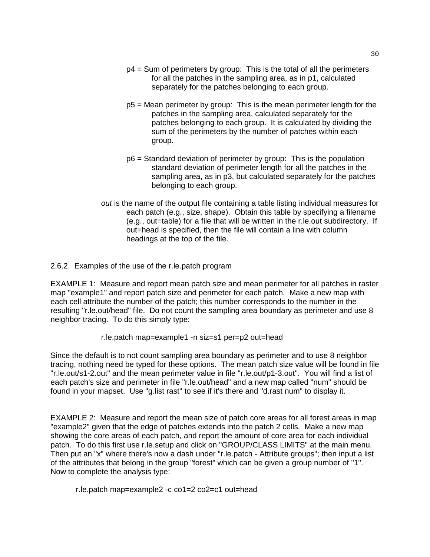- $p4$  = Sum of perimeters by group: This is the total of all the perimeters for all the patches in the sampling area, as in p1, calculated separately for the patches belonging to each group.
- p5 = Mean perimeter by group: This is the mean perimeter length for the patches in the sampling area, calculated separately for the patches belonging to each group. It is calculated by dividing the sum of the perimeters by the number of patches within each group.
- p6 = Standard deviation of perimeter by group: This is the population standard deviation of perimeter length for all the patches in the sampling area, as in p3, but calculated separately for the patches belonging to each group.
- *out* is the name of the output file containing a table listing individual measures for each patch (e.g., size, shape). Obtain this table by specifying a filename (e.g., out=table) for a file that will be written in the r.le.out subdirectory. If out=head is specified, then the file will contain a line with column headings at the top of the file.
- 2.6.2. Examples of the use of the r.le.patch program

EXAMPLE 1: Measure and report mean patch size and mean perimeter for all patches in raster map "example1" and report patch size and perimeter for each patch. Make a new map with each cell attribute the number of the patch; this number corresponds to the number in the resulting "r.le.out/head" file. Do not count the sampling area boundary as perimeter and use 8 neighbor tracing. To do this simply type:

## r.le.patch map=example1 -n siz=s1 per=p2 out=head

Since the default is to not count sampling area boundary as perimeter and to use 8 neighbor tracing, nothing need be typed for these options. The mean patch size value will be found in file "r.le.out/s1-2.out" and the mean perimeter value in file "r.le.out/p1-3.out". You will find a list of each patch's size and perimeter in file "r.le.out/head" and a new map called "num" should be found in your mapset. Use "g.list rast" to see if it's there and "d.rast num" to display it.

EXAMPLE 2: Measure and report the mean size of patch core areas for all forest areas in map "example2" given that the edge of patches extends into the patch 2 cells. Make a new map showing the core areas of each patch, and report the amount of core area for each individual patch. To do this first use r.le.setup and click on "GROUP/CLASS LIMITS" at the main menu. Then put an "x" where there's now a dash under "r.le.patch - Attribute groups"; then input a list of the attributes that belong in the group "forest" which can be given a group number of "1". Now to complete the analysis type:

r.le.patch map=example2 -c co1=2 co2=c1 out=head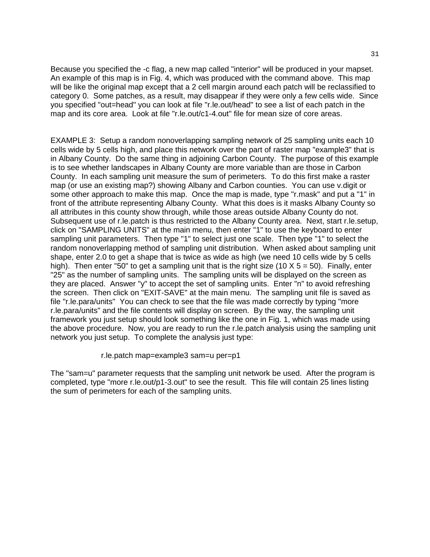Because you specified the -c flag, a new map called "interior" will be produced in your mapset. An example of this map is in Fig. 4, which was produced with the command above. This map will be like the original map except that a 2 cell margin around each patch will be reclassified to category 0. Some patches, as a result, may disappear if they were only a few cells wide. Since you specified "out=head" you can look at file "r.le.out/head" to see a list of each patch in the map and its core area. Look at file "r.le.out/c1-4.out" file for mean size of core areas.

EXAMPLE 3: Setup a random nonoverlapping sampling network of 25 sampling units each 10 cells wide by 5 cells high, and place this network over the part of raster map "example3" that is in Albany County. Do the same thing in adjoining Carbon County. The purpose of this example is to see whether landscapes in Albany County are more variable than are those in Carbon County. In each sampling unit measure the sum of perimeters. To do this first make a raster map (or use an existing map?) showing Albany and Carbon counties. You can use v.digit or some other approach to make this map. Once the map is made, type "r.mask" and put a "1" in front of the attribute representing Albany County. What this does is it masks Albany County so all attributes in this county show through, while those areas outside Albany County do not. Subsequent use of r.le.patch is thus restricted to the Albany County area. Next, start r.le.setup, click on "SAMPLING UNITS" at the main menu, then enter "1" to use the keyboard to enter sampling unit parameters. Then type "1" to select just one scale. Then type "1" to select the random nonoverlapping method of sampling unit distribution. When asked about sampling unit shape, enter 2.0 to get a shape that is twice as wide as high (we need 10 cells wide by 5 cells high). Then enter "50" to get a sampling unit that is the right size (10 X  $5 = 50$ ). Finally, enter "25" as the number of sampling units. The sampling units will be displayed on the screen as they are placed. Answer "y" to accept the set of sampling units. Enter "n" to avoid refreshing the screen. Then click on "EXIT-SAVE" at the main menu. The sampling unit file is saved as file "r.le.para/units" You can check to see that the file was made correctly by typing "more r.le.para/units" and the file contents will display on screen. By the way, the sampling unit framework you just setup should look something like the one in Fig. 1, which was made using the above procedure. Now, you are ready to run the r.le.patch analysis using the sampling unit network you just setup. To complete the analysis just type:

r.le.patch map=example3 sam=u per=p1

The "sam=u" parameter requests that the sampling unit network be used. After the program is completed, type "more r.le.out/p1-3.out" to see the result. This file will contain 25 lines listing the sum of perimeters for each of the sampling units.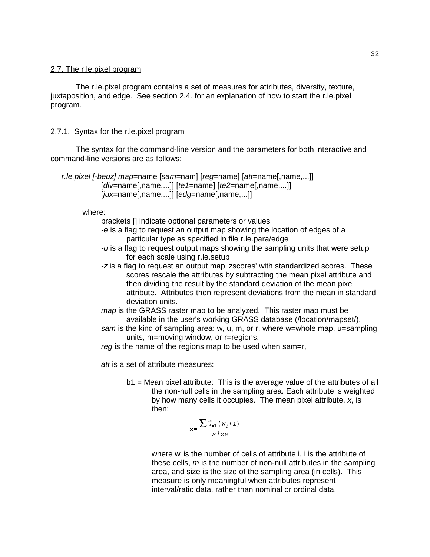## 2.7. The r.le.pixel program

The r.le.pixel program contains a set of measures for attributes, diversity, texture, juxtaposition, and edge. See section 2.4. for an explanation of how to start the r.le.pixel program.

## 2.7.1. Syntax for the r.le.pixel program

The syntax for the command-line version and the parameters for both interactive and command-line versions are as follows:

```
 r.le.pixel [-beuz] map=name [sam=nam] [reg=name] [att=name[,name,...]]
            [div=name[,name,...]] [te1=name] [te2=name[,name,...]]
            [jux=name[,name,...]] [edg=name[,name,...]]
```
where:

brackets [] indicate optional parameters or values

- *-e* is a flag to request an output map showing the location of edges of a particular type as specified in file r.le.para/edge
- *-u* is a flag to request output maps showing the sampling units that were setup for each scale using r.le.setup
- *-z* is a flag to request an output map 'zscores' with standardized scores. These scores rescale the attributes by subtracting the mean pixel attribute and then dividing the result by the standard deviation of the mean pixel attribute. Attributes then represent deviations from the mean in standard deviation units.
- *map* is the GRASS raster map to be analyzed. This raster map must be available in the user's working GRASS database (/location/mapset/),
- *sam* is the kind of sampling area: w, u, m, or r, where w=whole map, u=sampling units, m=moving window, or r=regions,
- *reg* is the name of the regions map to be used when sam=r,

*att* is a set of attribute measures:

b1 = Mean pixel attribute: This is the average value of the attributes of all the non-null cells in the sampling area. Each attribute is weighted by how many cells it occupies. The mean pixel attribute, *x*, is then:

$$
\overline{x} = \frac{\sum_{i=1}^{m} (w_i * i)}{size}
$$

where  $w_i$  is the number of cells of attribute i, i is the attribute of these cells, *m* is the number of non-null attributes in the sampling area, and size is the size of the sampling area (in cells). This measure is only meaningful when attributes represent interval/ratio data, rather than nominal or ordinal data.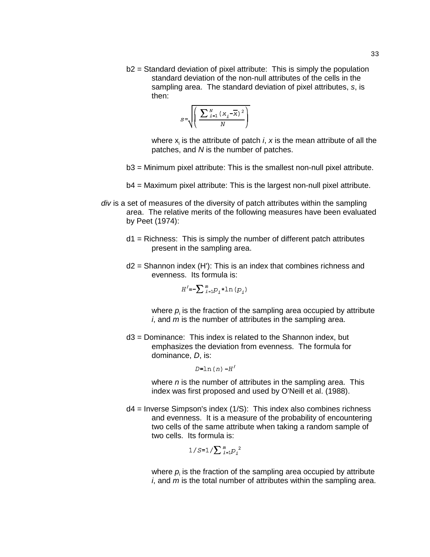b2 = Standard deviation of pixel attribute: This is simply the population standard deviation of the non-null attributes of the cells in the sampling area. The standard deviation of pixel attributes, *s*, is then:

$$
S = \sqrt{\left(\frac{\sum_{i=1}^{N} (x_i - \overline{x})^2}{N}\right)}
$$

where  $x_i$  is the attribute of patch *i*,  $x$  is the mean attribute of all the patches, and *N* is the number of patches.

- b3 = Minimum pixel attribute: This is the smallest non-null pixel attribute.
- b4 = Maximum pixel attribute: This is the largest non-null pixel attribute.
- *div* is a set of measures of the diversity of patch attributes within the sampling area. The relative merits of the following measures have been evaluated by Peet (1974):
	- $d1$  = Richness: This is simply the number of different patch attributes present in the sampling area.
	- $d2$  = Shannon index (H'): This is an index that combines richness and evenness. Its formula is:

$$
H^{\prime}=-\sum_{i=1}^m p_i * \ln \left(p_i\right)
$$

where  $\rho_{\text{i}}$  is the fraction of the sampling area occupied by attribute *i*, and *m* is the number of attributes in the sampling area.

d3 = Dominance: This index is related to the Shannon index, but emphasizes the deviation from evenness. The formula for dominance, *D*, is:

#### $D=ln(n)$   $-H'$

where *n* is the number of attributes in the sampling area. This index was first proposed and used by O'Neill et al. (1988).

 $d4$  = Inverse Simpson's index (1/S): This index also combines richness and evenness. It is a measure of the probability of encountering two cells of the same attribute when taking a random sample of two cells. Its formula is:

$$
1/S = 1/\sum_{i=1}^{m} p_i^2
$$

where  $\rho_{\text{\tiny i}}$  is the fraction of the sampling area occupied by attribute *i*, and *m* is the total number of attributes within the sampling area.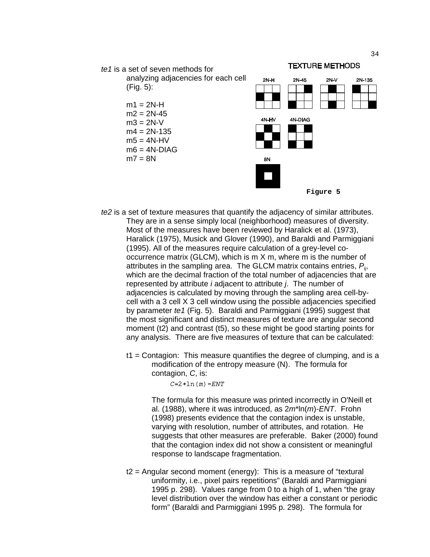

**Figure 5**

- *te2* is a set of texture measures that quantify the adjacency of similar attributes. They are in a sense simply local (neighborhood) measures of diversity. Most of the measures have been reviewed by Haralick et al. (1973), Haralick (1975), Musick and Glover (1990), and Baraldi and Parmiggiani (1995). All of the measures require calculation of a grey-level cooccurrence matrix (GLCM), which is m X m, where m is the number of attributes in the sampling area. The GLCM matrix contains entries, *P*ij, which are the decimal fraction of the total number of adjacencies that are represented by attribute *i* adjacent to attribute *j*. The number of adjacencies is calculated by moving through the sampling area cell-bycell with a 3 cell X 3 cell window using the possible adjacencies specified by parameter *te1* (Fig. 5). Baraldi and Parmiggiani (1995) suggest that the most significant and distinct measures of texture are angular second moment (t2) and contrast (t5), so these might be good starting points for any analysis. There are five measures of texture that can be calculated:
	- t1 = Contagion: This measure quantifies the degree of clumping, and is a modification of the entropy measure (N). The formula for contagion, *C*, is:

#### $C=2*ln(m)$ -ENT

The formula for this measure was printed incorrectly in O'Neill et al. (1988), where it was introduced, as 2*m*\*ln(*m*)-*ENT*. Frohn (1998) presents evidence that the contagion index is unstable, varying with resolution, number of attributes, and rotation. He suggests that other measures are preferable. Baker (2000) found that the contagion index did not show a consistent or meaningful response to landscape fragmentation.

t2 = Angular second moment (energy): This is a measure of "textural uniformity, i.e., pixel pairs repetitions" (Baraldi and Parmiggiani 1995 p. 298). Values range from 0 to a high of 1, when "the gray level distribution over the window has either a constant or periodic form" (Baraldi and Parmiggiani 1995 p. 298). The formula for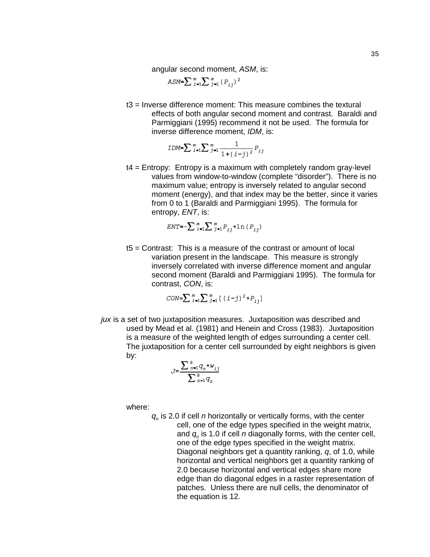angular second moment, *ASM*, is:

ASM= $\sum_{i=1}^{m} \sum_{j=1}^{m} (P_{i,j})^2$ 

t3 = Inverse difference moment: This measure combines the textural effects of both angular second moment and contrast. Baraldi and Parmiggiani (1995) recommend it not be used. The formula for inverse difference moment, *IDM*, is:

$$
IDM = \sum_{i=1}^{m} \sum_{j=1}^{m} \frac{1}{1 + (i - j)^2} P_{ij}
$$

t4 = Entropy: Entropy is a maximum with completely random gray-level values from window-to-window (complete "disorder"). There is no maximum value; entropy is inversely related to angular second moment (energy), and that index may be the better, since it varies from 0 to 1 (Baraldi and Parmiggiani 1995). The formula for entropy, *ENT*, is:

$$
ENT = -\sum_{i=1}^{m} \sum_{j=1}^{m} P_{ij} * \ln (P_{ij})
$$

t5 = Contrast: This is a measure of the contrast or amount of local variation present in the landscape. This measure is strongly inversely correlated with inverse difference moment and angular second moment (Baraldi and Parmiggiani 1995). The formula for contrast, *CON*, is:

$$
CON = \sum_{i=1}^{m} \sum_{j=1}^{m} \left[ (i-j)^2 * P_{ij} \right]
$$

*jux* is a set of two juxtaposition measures. Juxtaposition was described and used by Mead et al. (1981) and Henein and Cross (1983). Juxtaposition is a measure of the weighted length of edges surrounding a center cell. The juxtaposition for a center cell surrounded by eight neighbors is given by:

$$
J = \frac{\sum_{n=1}^{8} q_n * w_{ij}}{\sum_{n=1}^{8} q_n}
$$

where:

*q*n is 2.0 if cell *n* horizontally or vertically forms, with the center cell, one of the edge types specified in the weight matrix, and *q*n is 1.0 if cell *n* diagonally forms, with the center cell, one of the edge types specified in the weight matrix. Diagonal neighbors get a quantity ranking, *q*, of 1.0, while horizontal and vertical neighbors get a quantity ranking of 2.0 because horizontal and vertical edges share more edge than do diagonal edges in a raster representation of patches. Unless there are null cells, the denominator of the equation is 12.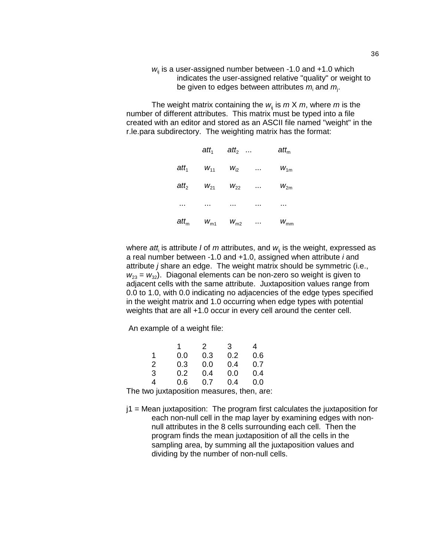*w*<sub>ii</sub> is a user-assigned number between -1.0 and +1.0 which indicates the user-assigned relative "quality" or weight to be given to edges between attributes  $m_{\text{i}}$  and  $m_{\text{j}}$ .

The weight matrix containing the  $w_i$  is  $m \times m$ , where  $m$  is the number of different attributes. This matrix must be typed into a file created with an editor and stored as an ASCII file named "weight" in the r.le.para subdirectory. The weighting matrix has the format:

|             | $\boldsymbol{att}_1$ | att <sub>2</sub> |          | $att_m$         |
|-------------|----------------------|------------------|----------|-----------------|
| $att_1$     | $W_{11}$             | $W_{i2}$         | $\cdots$ | $W_{1m}$        |
| $att_2$     | $W_{21}$             | $W_{22}$         | $\cdots$ | $W_{2m}$        |
| $\cdots$    | $\cdots$             | .                | .        | .               |
| $\it att_m$ | $W_{m1}$             | $W_{m2}$         | $\cdots$ | $W_{\text{mm}}$ |

where *att<sub>i</sub>* is attribute *I* of *m* attributes, and  $w_{\scriptscriptstyle\rm ij}$  is the weight, expressed as a real number between -1.0 and +1.0, assigned when attribute *i* and attribute *j* share an edge. The weight matrix should be symmetric (i.e.,  $w_{23} = w_{32}$ ). Diagonal elements can be non-zero so weight is given to adjacent cells with the same attribute. Juxtaposition values range from 0.0 to 1.0, with 0.0 indicating no adjacencies of the edge types specified in the weight matrix and 1.0 occurring when edge types with potential weights that are all +1.0 occur in every cell around the center cell.

An example of a weight file:

|   |     | 2   | 3   | 4   |
|---|-----|-----|-----|-----|
| 1 | 0.0 | 0.3 | 0.2 | 0.6 |
| 2 | 0.3 | 0.0 | 0.4 | 0.7 |
| 3 | 0.2 | 0.4 | 0.0 | 0.4 |
| 4 | 0.6 | 0.7 | 0.4 | 0.0 |

The two juxtaposition measures, then, are:

 $j1$  = Mean juxtaposition: The program first calculates the juxtaposition for each non-null cell in the map layer by examining edges with nonnull attributes in the 8 cells surrounding each cell. Then the program finds the mean juxtaposition of all the cells in the sampling area, by summing all the juxtaposition values and dividing by the number of non-null cells.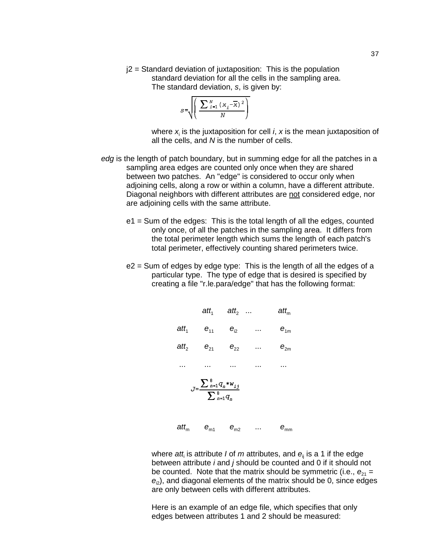$j2$  = Standard deviation of juxtaposition: This is the population standard deviation for all the cells in the sampling area. The standard deviation, *s*, is given by:

$$
S = \sqrt{\left(\frac{\sum_{i=1}^{N} (x_i - \overline{x})^2}{N}\right)}
$$

where  $x_{\text{i}}$  is the juxtaposition for cell *i*, *x* is the mean juxtaposition of all the cells, and *N* is the number of cells.

- *edg* is the length of patch boundary, but in summing edge for all the patches in a sampling area edges are counted only once when they are shared between two patches. An "edge" is considered to occur only when adjoining cells, along a row or within a column, have a different attribute. Diagonal neighbors with different attributes are not considered edge, nor are adjoining cells with the same attribute.
	- e1 = Sum of the edges: This is the total length of all the edges, counted only once, of all the patches in the sampling area. It differs from the total perimeter length which sums the length of each patch's total perimeter, effectively counting shared perimeters twice.
	- e2 = Sum of edges by edge type: This is the length of all the edges of a particular type. The type of edge that is desired is specified by creating a file "r.le.para/edge" that has the following format:



where *att*<sup>i</sup> is attribute *I* of *m* attributes, and *e*ij is a 1 if the edge between attribute *i* and *j* should be counted and 0 if it should not be counted. Note that the matrix should be symmetric (i.e.,  $e_{21}$  =  $e<sub>2</sub>$ ), and diagonal elements of the matrix should be 0, since edges are only between cells with different attributes.

Here is an example of an edge file, which specifies that only edges between attributes 1 and 2 should be measured: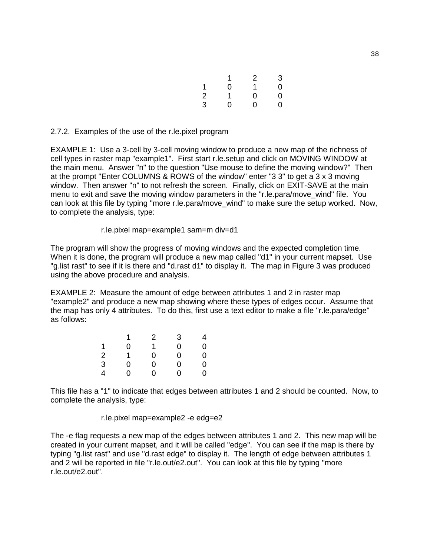|                |   | 2 | 3 |
|----------------|---|---|---|
| 1              | 0 | 1 | 0 |
| $\overline{2}$ |   | 0 | 0 |
| 3              | 0 | 0 | 0 |

#### 2.7.2. Examples of the use of the r.le.pixel program

EXAMPLE 1: Use a 3-cell by 3-cell moving window to produce a new map of the richness of cell types in raster map "example1". First start r.le.setup and click on MOVING WINDOW at the main menu. Answer "n" to the question "Use mouse to define the moving window?" Then at the prompt "Enter COLUMNS & ROWS of the window" enter "3 3" to get a 3 x 3 moving window. Then answer "n" to not refresh the screen. Finally, click on EXIT-SAVE at the main menu to exit and save the moving window parameters in the "r.le.para/move wind" file. You can look at this file by typing "more r.le.para/move\_wind" to make sure the setup worked. Now, to complete the analysis, type:

r.le.pixel map=example1 sam=m div=d1

The program will show the progress of moving windows and the expected completion time. When it is done, the program will produce a new map called "d1" in your current mapset. Use "g.list rast" to see if it is there and "d.rast d1" to display it. The map in Figure 3 was produced using the above procedure and analysis.

EXAMPLE 2: Measure the amount of edge between attributes 1 and 2 in raster map "example2" and produce a new map showing where these types of edges occur. Assume that the map has only 4 attributes. To do this, first use a text editor to make a file "r.le.para/edge" as follows:

|                | 1 | 2 | 3 | 4 |
|----------------|---|---|---|---|
| 1              | 0 | 1 | 0 | 0 |
| $\frac{1}{2}$  | 1 | 0 | 0 | 0 |
| $\overline{3}$ | 0 | 0 | 0 | 0 |
| 4              | 0 | 0 | 0 | 0 |

This file has a "1" to indicate that edges between attributes 1 and 2 should be counted. Now, to complete the analysis, type:

r.le.pixel map=example2 -e edg=e2

The -e flag requests a new map of the edges between attributes 1 and 2. This new map will be created in your current mapset, and it will be called "edge". You can see if the map is there by typing "g.list rast" and use "d.rast edge" to display it. The length of edge between attributes 1 and 2 will be reported in file "r.le.out/e2.out". You can look at this file by typing "more r.le.out/e2.out".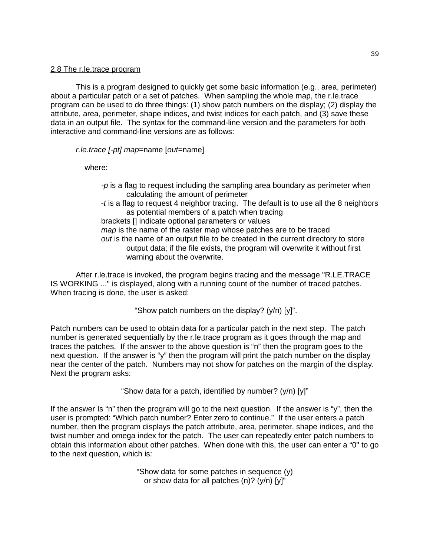#### 2.8 The r.le.trace program

This is a program designed to quickly get some basic information (e.g., area, perimeter) about a particular patch or a set of patches. When sampling the whole map, the r.le.trace program can be used to do three things: (1) show patch numbers on the display; (2) display the attribute, area, perimeter, shape indices, and twist indices for each patch, and (3) save these data in an output file. The syntax for the command-line version and the parameters for both interactive and command-line versions are as follows:

*r.le.trace [-pt] map*=name [*out*=name]

where:

*-p* is a flag to request including the sampling area boundary as perimeter when calculating the amount of perimeter -*t* is a flag to request 4 neighbor tracing. The default is to use all the 8 neighbors as potential members of a patch when tracing brackets [] indicate optional parameters or values *map* is the name of the raster map whose patches are to be traced *out* is the name of an output file to be created in the current directory to store output data; if the file exists, the program will overwrite it without first warning about the overwrite.

After r.le.trace is invoked, the program begins tracing and the message "R.LE.TRACE IS WORKING ..." is displayed, along with a running count of the number of traced patches. When tracing is done, the user is asked:

"Show patch numbers on the display? (y/n) [y]".

Patch numbers can be used to obtain data for a particular patch in the next step. The patch number is generated sequentially by the r.le.trace program as it goes through the map and traces the patches. If the answer to the above question is "n" then the program goes to the next question. If the answer is "y" then the program will print the patch number on the display near the center of the patch. Numbers may not show for patches on the margin of the display. Next the program asks:

"Show data for a patch, identified by number? (y/n) [y]"

If the answer Is "n" then the program will go to the next question. If the answer is "y", then the user is prompted: "Which patch number? Enter zero to continue." If the user enters a patch number, then the program displays the patch attribute, area, perimeter, shape indices, and the twist number and omega index for the patch. The user can repeatedly enter patch numbers to obtain this information about other patches. When done with this, the user can enter a "0" to go to the next question, which is:

> "Show data for some patches in sequence (y) or show data for all patches (n)? (y/n) [y]"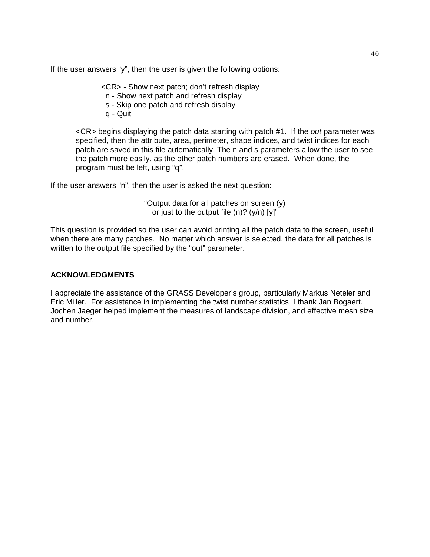If the user answers "y", then the user is given the following options:

<CR> - Show next patch; don't refresh display

- n Show next patch and refresh display
- s Skip one patch and refresh display
- q Quit

<CR> begins displaying the patch data starting with patch #1. If the *out* parameter was specified, then the attribute, area, perimeter, shape indices, and twist indices for each patch are saved in this file automatically. The n and s parameters allow the user to see the patch more easily, as the other patch numbers are erased. When done, the program must be left, using "q".

If the user answers "n", then the user is asked the next question:

"Output data for all patches on screen (y) or just to the output file  $(n)$ ?  $(y/n)$   $[y]$ "

This question is provided so the user can avoid printing all the patch data to the screen, useful when there are many patches. No matter which answer is selected, the data for all patches is written to the output file specified by the "out" parameter.

## **ACKNOWLEDGMENTS**

I appreciate the assistance of the GRASS Developer's group, particularly Markus Neteler and Eric Miller. For assistance in implementing the twist number statistics, I thank Jan Bogaert. Jochen Jaeger helped implement the measures of landscape division, and effective mesh size and number.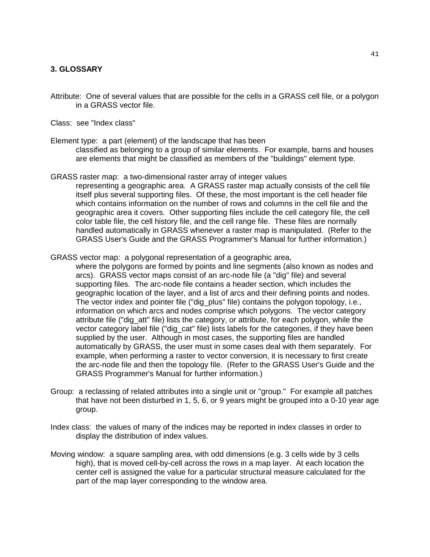## **3. GLOSSARY**

Attribute: One of several values that are possible for the cells in a GRASS cell file, or a polygon in a GRASS vector file.

Class: see "Index class"

Element type: a part (element) of the landscape that has been classified as belonging to a group of similar elements. For example, barns and houses are elements that might be classified as members of the "buildings" element type.

- GRASS raster map: a two-dimensional raster array of integer values representing a geographic area. A GRASS raster map actually consists of the cell file itself plus several supporting files. Of these, the most important is the cell header file which contains information on the number of rows and columns in the cell file and the geographic area it covers. Other supporting files include the cell category file, the cell color table file, the cell history file, and the cell range file. These files are normally handled automatically in GRASS whenever a raster map is manipulated. (Refer to the GRASS User's Guide and the GRASS Programmer's Manual for further information.)
- GRASS vector map: a polygonal representation of a geographic area,

where the polygons are formed by points and line segments (also known as nodes and arcs). GRASS vector maps consist of an arc-node file (a "dig" file) and several supporting files. The arc-node file contains a header section, which includes the geographic location of the layer, and a list of arcs and their defining points and nodes. The vector index and pointer file ("dig\_plus" file) contains the polygon topology, i.e., information on which arcs and nodes comprise which polygons. The vector category attribute file ("dig\_att" file) lists the category, or attribute, for each polygon, while the vector category label file ("dig\_cat" file) lists labels for the categories, if they have been supplied by the user. Although in most cases, the supporting files are handled automatically by GRASS, the user must in some cases deal with them separately. For example, when performing a raster to vector conversion, it is necessary to first create the arc-node file and then the topology file. (Refer to the GRASS User's Guide and the GRASS Programmer's Manual for further information.)

- Group: a reclassing of related attributes into a single unit or "group." For example all patches that have not been disturbed in 1, 5, 6, or 9 years might be grouped into a 0-10 year age group.
- Index class: the values of many of the indices may be reported in index classes in order to display the distribution of index values.
- Moving window: a square sampling area, with odd dimensions (e.g. 3 cells wide by 3 cells high), that is moved cell-by-cell across the rows in a map layer. At each location the center cell is assigned the value for a particular structural measure calculated for the part of the map layer corresponding to the window area.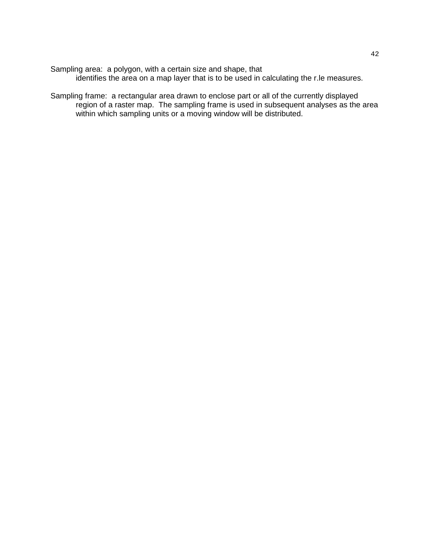Sampling area: a polygon, with a certain size and shape, that identifies the area on a map layer that is to be used in calculating the r.le measures.

Sampling frame: a rectangular area drawn to enclose part or all of the currently displayed region of a raster map. The sampling frame is used in subsequent analyses as the area within which sampling units or a moving window will be distributed.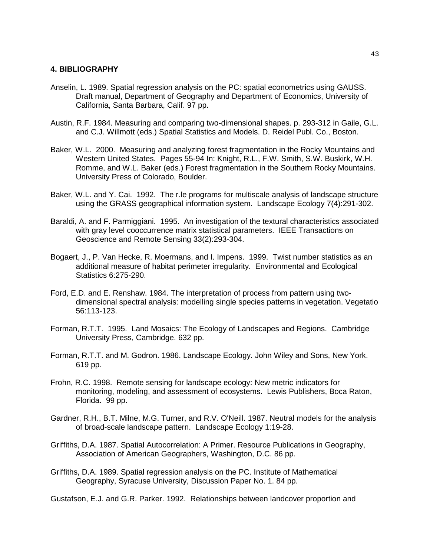#### **4. BIBLIOGRAPHY**

- Anselin, L. 1989. Spatial regression analysis on the PC: spatial econometrics using GAUSS. Draft manual, Department of Geography and Department of Economics, University of California, Santa Barbara, Calif. 97 pp.
- Austin, R.F. 1984. Measuring and comparing two-dimensional shapes. p. 293-312 in Gaile, G.L. and C.J. Willmott (eds.) Spatial Statistics and Models. D. Reidel Publ. Co., Boston.
- Baker, W.L. 2000. Measuring and analyzing forest fragmentation in the Rocky Mountains and Western United States. Pages 55-94 In: Knight, R.L., F.W. Smith, S.W. Buskirk, W.H. Romme, and W.L. Baker (eds.) Forest fragmentation in the Southern Rocky Mountains. University Press of Colorado, Boulder.
- Baker, W.L. and Y. Cai. 1992. The r.le programs for multiscale analysis of landscape structure using the GRASS geographical information system. Landscape Ecology 7(4):291-302.
- Baraldi, A. and F. Parmiggiani. 1995. An investigation of the textural characteristics associated with gray level cooccurrence matrix statistical parameters. IEEE Transactions on Geoscience and Remote Sensing 33(2):293-304.
- Bogaert, J., P. Van Hecke, R. Moermans, and I. Impens. 1999. Twist number statistics as an additional measure of habitat perimeter irregularity. Environmental and Ecological Statistics 6:275-290.
- Ford, E.D. and E. Renshaw. 1984. The interpretation of process from pattern using twodimensional spectral analysis: modelling single species patterns in vegetation. Vegetatio 56:113-123.
- Forman, R.T.T. 1995. Land Mosaics: The Ecology of Landscapes and Regions. Cambridge University Press, Cambridge. 632 pp.
- Forman, R.T.T. and M. Godron. 1986. Landscape Ecology. John Wiley and Sons, New York. 619 pp.
- Frohn, R.C. 1998. Remote sensing for landscape ecology: New metric indicators for monitoring, modeling, and assessment of ecosystems. Lewis Publishers, Boca Raton, Florida. 99 pp.
- Gardner, R.H., B.T. Milne, M.G. Turner, and R.V. O'Neill. 1987. Neutral models for the analysis of broad-scale landscape pattern. Landscape Ecology 1:19-28.
- Griffiths, D.A. 1987. Spatial Autocorrelation: A Primer. Resource Publications in Geography, Association of American Geographers, Washington, D.C. 86 pp.
- Griffiths, D.A. 1989. Spatial regression analysis on the PC. Institute of Mathematical Geography, Syracuse University, Discussion Paper No. 1. 84 pp.

Gustafson, E.J. and G.R. Parker. 1992. Relationships between landcover proportion and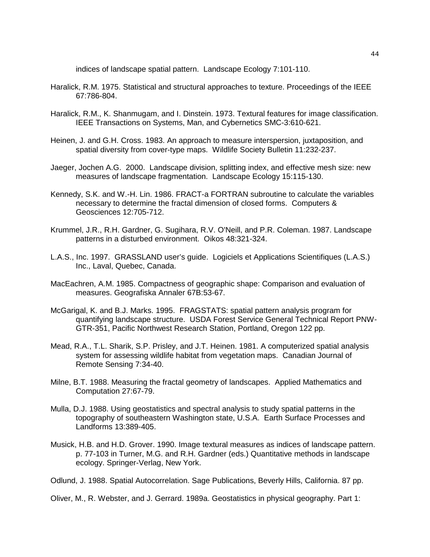indices of landscape spatial pattern. Landscape Ecology 7:101-110.

- Haralick, R.M. 1975. Statistical and structural approaches to texture. Proceedings of the IEEE 67:786-804.
- Haralick, R.M., K. Shanmugam, and I. Dinstein. 1973. Textural features for image classification. IEEE Transactions on Systems, Man, and Cybernetics SMC-3:610-621.
- Heinen, J. and G.H. Cross. 1983. An approach to measure interspersion, juxtaposition, and spatial diversity from cover-type maps. Wildlife Society Bulletin 11:232-237.
- Jaeger, Jochen A.G. 2000. Landscape division, splitting index, and effective mesh size: new measures of landscape fragmentation. Landscape Ecology 15:115-130.
- Kennedy, S.K. and W.-H. Lin. 1986. FRACT-a FORTRAN subroutine to calculate the variables necessary to determine the fractal dimension of closed forms. Computers & Geosciences 12:705-712.
- Krummel, J.R., R.H. Gardner, G. Sugihara, R.V. O'Neill, and P.R. Coleman. 1987. Landscape patterns in a disturbed environment. Oikos 48:321-324.
- L.A.S., Inc. 1997. GRASSLAND user's guide. Logiciels et Applications Scientifiques (L.A.S.) Inc., Laval, Quebec, Canada.
- MacEachren, A.M. 1985. Compactness of geographic shape: Comparison and evaluation of measures. Geografiska Annaler 67B:53-67.
- McGarigal, K. and B.J. Marks. 1995. FRAGSTATS: spatial pattern analysis program for quantifying landscape structure. USDA Forest Service General Technical Report PNW-GTR-351, Pacific Northwest Research Station, Portland, Oregon 122 pp.
- Mead, R.A., T.L. Sharik, S.P. Prisley, and J.T. Heinen. 1981. A computerized spatial analysis system for assessing wildlife habitat from vegetation maps. Canadian Journal of Remote Sensing 7:34-40.
- Milne, B.T. 1988. Measuring the fractal geometry of landscapes. Applied Mathematics and Computation 27:67-79.
- Mulla, D.J. 1988. Using geostatistics and spectral analysis to study spatial patterns in the topography of southeastern Washington state, U.S.A. Earth Surface Processes and Landforms 13:389-405.
- Musick, H.B. and H.D. Grover. 1990. Image textural measures as indices of landscape pattern. p. 77-103 in Turner, M.G. and R.H. Gardner (eds.) Quantitative methods in landscape ecology. Springer-Verlag, New York.
- Odlund, J. 1988. Spatial Autocorrelation. Sage Publications, Beverly Hills, California. 87 pp.

Oliver, M., R. Webster, and J. Gerrard. 1989a. Geostatistics in physical geography. Part 1: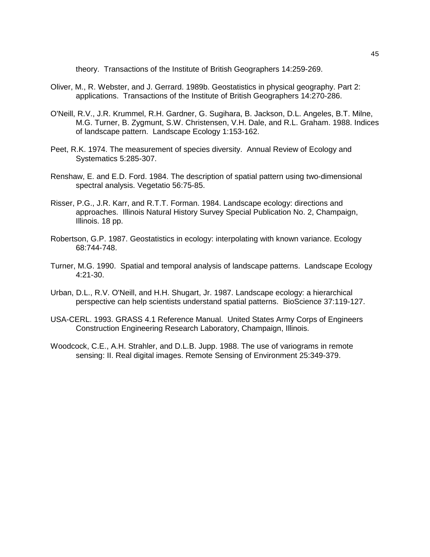theory. Transactions of the Institute of British Geographers 14:259-269.

- Oliver, M., R. Webster, and J. Gerrard. 1989b. Geostatistics in physical geography. Part 2: applications. Transactions of the Institute of British Geographers 14:270-286.
- O'Neill, R.V., J.R. Krummel, R.H. Gardner, G. Sugihara, B. Jackson, D.L. Angeles, B.T. Milne, M.G. Turner, B. Zygmunt, S.W. Christensen, V.H. Dale, and R.L. Graham. 1988. Indices of landscape pattern. Landscape Ecology 1:153-162.
- Peet, R.K. 1974. The measurement of species diversity. Annual Review of Ecology and Systematics 5:285-307.
- Renshaw, E. and E.D. Ford. 1984. The description of spatial pattern using two-dimensional spectral analysis. Vegetatio 56:75-85.
- Risser, P.G., J.R. Karr, and R.T.T. Forman. 1984. Landscape ecology: directions and approaches. Illinois Natural History Survey Special Publication No. 2, Champaign, Illinois. 18 pp.
- Robertson, G.P. 1987. Geostatistics in ecology: interpolating with known variance. Ecology 68:744-748.
- Turner, M.G. 1990. Spatial and temporal analysis of landscape patterns. Landscape Ecology 4:21-30.
- Urban, D.L., R.V. O'Neill, and H.H. Shugart, Jr. 1987. Landscape ecology: a hierarchical perspective can help scientists understand spatial patterns. BioScience 37:119-127.
- USA-CERL. 1993. GRASS 4.1 Reference Manual. United States Army Corps of Engineers Construction Engineering Research Laboratory, Champaign, Illinois.
- Woodcock, C.E., A.H. Strahler, and D.L.B. Jupp. 1988. The use of variograms in remote sensing: II. Real digital images. Remote Sensing of Environment 25:349-379.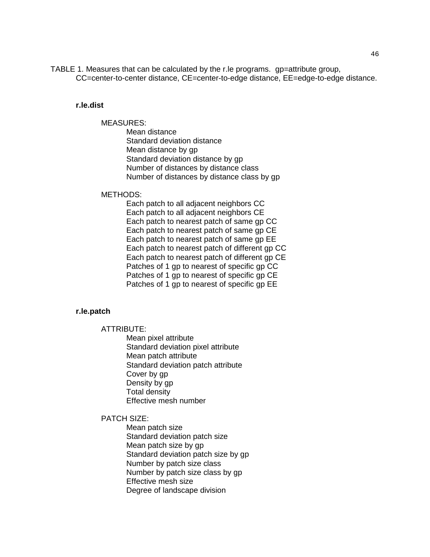TABLE 1. Measures that can be calculated by the r.le programs. gp=attribute group, CC=center-to-center distance, CE=center-to-edge distance, EE=edge-to-edge distance.

#### **r.le.dist**

#### MEASURES:

Mean distance Standard deviation distance Mean distance by gp Standard deviation distance by gp Number of distances by distance class Number of distances by distance class by gp

#### METHODS:

Each patch to all adjacent neighbors CC Each patch to all adjacent neighbors CE Each patch to nearest patch of same gp CC Each patch to nearest patch of same gp CE Each patch to nearest patch of same gp EE Each patch to nearest patch of different gp CC Each patch to nearest patch of different gp CE Patches of 1 gp to nearest of specific gp CC Patches of 1 gp to nearest of specific gp CE Patches of 1 gp to nearest of specific gp EE

## **r.le.patch**

#### ATTRIBUTE:

Mean pixel attribute Standard deviation pixel attribute Mean patch attribute Standard deviation patch attribute Cover by gp Density by gp Total density Effective mesh number

#### PATCH SIZE:

Mean patch size Standard deviation patch size Mean patch size by gp Standard deviation patch size by gp Number by patch size class Number by patch size class by gp Effective mesh size Degree of landscape division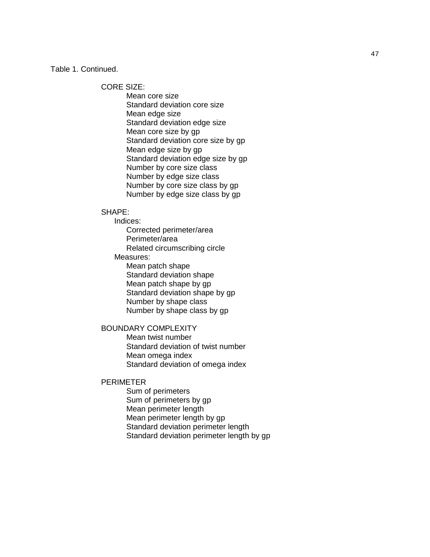Table 1. Continued.

CORE SIZE:

Mean core size Standard deviation core size Mean edge size Standard deviation edge size Mean core size by gp Standard deviation core size by gp Mean edge size by gp Standard deviation edge size by gp Number by core size class Number by edge size class Number by core size class by gp Number by edge size class by gp

#### SHAPE:

Indices:

Corrected perimeter/area Perimeter/area Related circumscribing circle

Measures:

Mean patch shape Standard deviation shape Mean patch shape by gp Standard deviation shape by gp Number by shape class Number by shape class by gp

# BOUNDARY COMPLEXITY

Mean twist number Standard deviation of twist number Mean omega index Standard deviation of omega index

#### PERIMETER

Sum of perimeters Sum of perimeters by gp Mean perimeter length Mean perimeter length by gp Standard deviation perimeter length Standard deviation perimeter length by gp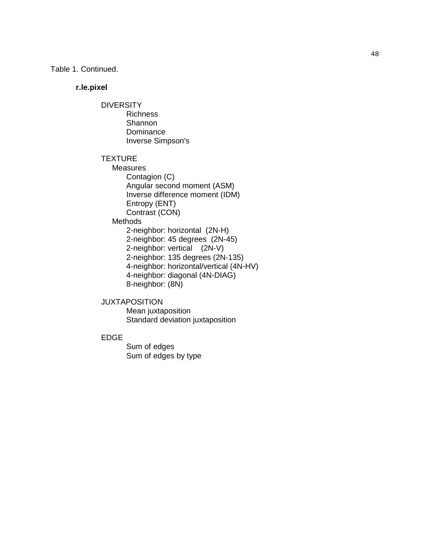Table 1. Continued.

#### **r.le.pixel**

#### **DIVERSITY** Richness

**Shannon** Dominance Inverse Simpson's

## **TEXTURE**

- **Measures** Contagion (C) Angular second moment (ASM) Inverse difference moment (IDM) Entropy (ENT) Contrast (CON) **Methods** 2-neighbor: horizontal (2N-H) 2-neighbor: 45 degrees (2N-45) 2-neighbor: vertical (2N-V) 2-neighbor: 135 degrees (2N-135) 4-neighbor: horizontal/vertical (4N-HV) 4-neighbor: diagonal (4N-DIAG) 8-neighbor: (8N)
- 

# JUXTAPOSITION

Mean juxtaposition Standard deviation juxtaposition

## EDGE

Sum of edges Sum of edges by type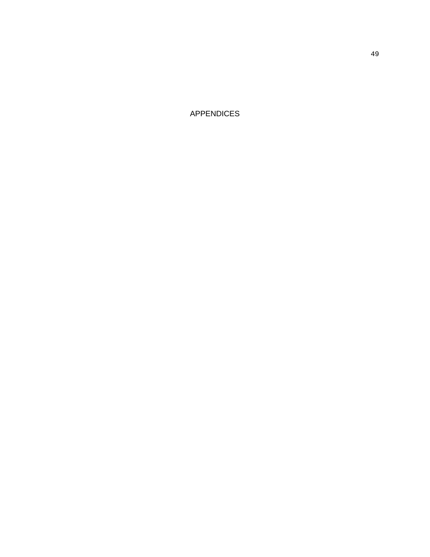APPENDICES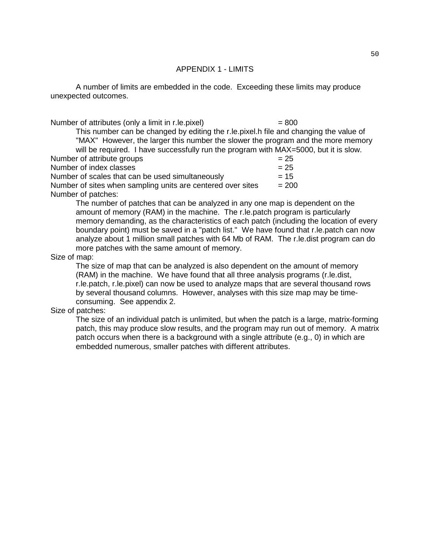#### APPENDIX 1 - LIMITS

A number of limits are embedded in the code. Exceeding these limits may produce unexpected outcomes.

Number of attributes (only a limit in r.le. pixel)  $= 800$ 

This number can be changed by editing the r.le.pixel.h file and changing the value of "MAX" However, the larger this number the slower the program and the more memory will be required. I have successfully run the program with MAX=5000, but it is slow. Number of attribute groups  $= 25$ 

Number of index classes  $= 25$ 

Number of scales that can be used simultaneously  $= 15$ Number of sites when sampling units are centered over sites  $= 200$ Number of patches:

> The number of patches that can be analyzed in any one map is dependent on the amount of memory (RAM) in the machine. The r.le.patch program is particularly memory demanding, as the characteristics of each patch (including the location of every boundary point) must be saved in a "patch list." We have found that r.le.patch can now analyze about 1 million small patches with 64 Mb of RAM. The r.le.dist program can do more patches with the same amount of memory.

## Size of map:

The size of map that can be analyzed is also dependent on the amount of memory (RAM) in the machine. We have found that all three analysis programs (r.le.dist, r.le.patch, r.le.pixel) can now be used to analyze maps that are several thousand rows by several thousand columns. However, analyses with this size map may be timeconsuming. See appendix 2.

## Size of patches:

The size of an individual patch is unlimited, but when the patch is a large, matrix-forming patch, this may produce slow results, and the program may run out of memory. A matrix patch occurs when there is a background with a single attribute (e.g., 0) in which are embedded numerous, smaller patches with different attributes.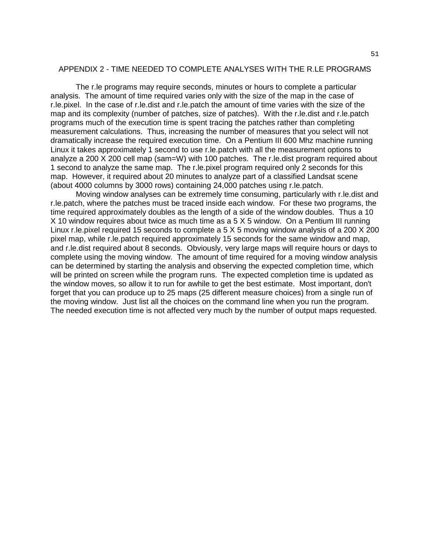#### APPENDIX 2 - TIME NEEDED TO COMPLETE ANALYSES WITH THE R.LE PROGRAMS

The r.le programs may require seconds, minutes or hours to complete a particular analysis. The amount of time required varies only with the size of the map in the case of r.le.pixel. In the case of r.le.dist and r.le.patch the amount of time varies with the size of the map and its complexity (number of patches, size of patches). With the r.le.dist and r.le.patch programs much of the execution time is spent tracing the patches rather than completing measurement calculations. Thus, increasing the number of measures that you select will not dramatically increase the required execution time. On a Pentium III 600 Mhz machine running Linux it takes approximately 1 second to use r.le.patch with all the measurement options to analyze a 200 X 200 cell map (sam=W) with 100 patches. The r.le.dist program required about 1 second to analyze the same map. The r.le.pixel program required only 2 seconds for this map. However, it required about 20 minutes to analyze part of a classified Landsat scene (about 4000 columns by 3000 rows) containing 24,000 patches using r.le.patch.

Moving window analyses can be extremely time consuming, particularly with r.le.dist and r.le.patch, where the patches must be traced inside each window. For these two programs, the time required approximately doubles as the length of a side of the window doubles. Thus a 10 X 10 window requires about twice as much time as a 5 X 5 window. On a Pentium III running Linux r.le.pixel required 15 seconds to complete a 5 X 5 moving window analysis of a 200 X 200 pixel map, while r.le.patch required approximately 15 seconds for the same window and map, and r.le.dist required about 8 seconds. Obviously, very large maps will require hours or days to complete using the moving window. The amount of time required for a moving window analysis can be determined by starting the analysis and observing the expected completion time, which will be printed on screen while the program runs. The expected completion time is updated as the window moves, so allow it to run for awhile to get the best estimate. Most important, don't forget that you can produce up to 25 maps (25 different measure choices) from a single run of the moving window. Just list all the choices on the command line when you run the program. The needed execution time is not affected very much by the number of output maps requested.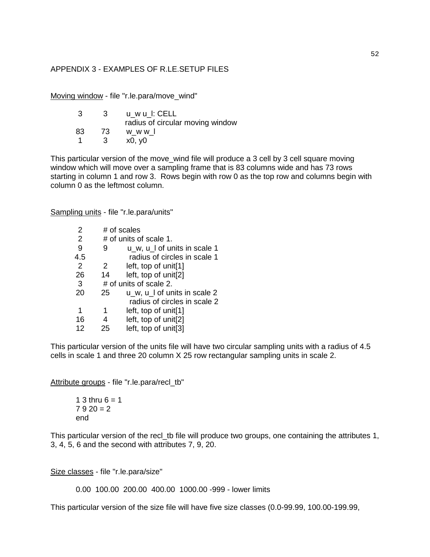## APPENDIX 3 - EXAMPLES OF R.LE.SETUP FILES

Moving window - file "r.le.para/move\_wind"

| -3. | -3- | u_w u_l: CELL                    |
|-----|-----|----------------------------------|
|     |     | radius of circular moving window |
| 83  | -73 | w w w I                          |
|     | -3- | x0, y0                           |

This particular version of the move\_wind file will produce a 3 cell by 3 cell square moving window which will move over a sampling frame that is 83 columns wide and has 73 rows starting in column 1 and row 3. Rows begin with row 0 as the top row and columns begin with column 0 as the leftmost column.

Sampling units - file "r.le.para/units"

| 2              |    | # of scales                  |
|----------------|----|------------------------------|
| 2              |    | # of units of scale 1.       |
| 9              |    | u_w, u_l of units in scale 1 |
| 4.5            |    | radius of circles in scale 1 |
| $\overline{2}$ | 2  | left, top of unit[1]         |
| 26             | 14 | left, top of unit[2]         |
| 3              |    | # of units of scale 2.       |
| 20             | 25 | u_w, u_l of units in scale 2 |
|                |    | radius of circles in scale 2 |
| 1              | 1  | left, top of unit[1]         |
| 16             |    | left, top of unit[2]         |
| 12             | 25 | left, top of unit[3]         |

This particular version of the units file will have two circular sampling units with a radius of 4.5 cells in scale 1 and three 20 column X 25 row rectangular sampling units in scale 2.

Attribute groups - file "r.le.para/recl\_tb"

1 3 thru  $6 = 1$  $7920 = 2$ end

This particular version of the recl tb file will produce two groups, one containing the attributes 1, 3, 4, 5, 6 and the second with attributes 7, 9, 20.

Size classes - file "r.le.para/size"

0.00 100.00 200.00 400.00 1000.00 -999 - lower limits

This particular version of the size file will have five size classes (0.0-99.99, 100.00-199.99,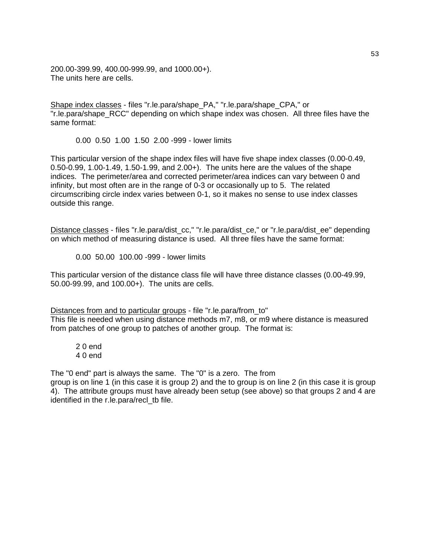200.00-399.99, 400.00-999.99, and 1000.00+). The units here are cells.

Shape index classes - files "r.le.para/shape\_PA," "r.le.para/shape\_CPA," or "r.le.para/shape RCC" depending on which shape index was chosen. All three files have the same format:

0.00 0.50 1.00 1.50 2.00 -999 - lower limits

This particular version of the shape index files will have five shape index classes (0.00-0.49, 0.50-0.99, 1.00-1.49, 1.50-1.99, and 2.00+). The units here are the values of the shape indices. The perimeter/area and corrected perimeter/area indices can vary between 0 and infinity, but most often are in the range of 0-3 or occasionally up to 5. The related circumscribing circle index varies between 0-1, so it makes no sense to use index classes outside this range.

Distance classes - files "r.le.para/dist\_cc," "r.le.para/dist\_ce," or "r.le.para/dist\_ee" depending on which method of measuring distance is used. All three files have the same format:

0.00 50.00 100.00 -999 - lower limits

This particular version of the distance class file will have three distance classes (0.00-49.99, 50.00-99.99, and 100.00+). The units are cells.

Distances from and to particular groups - file "r.le.para/from to" This file is needed when using distance methods m7, m8, or m9 where distance is measured from patches of one group to patches of another group. The format is:

2 0 end 4 0 end

The "0 end" part is always the same. The "0" is a zero. The from

group is on line 1 (in this case it is group 2) and the to group is on line 2 (in this case it is group 4). The attribute groups must have already been setup (see above) so that groups 2 and 4 are identified in the r.le.para/recl\_tb file.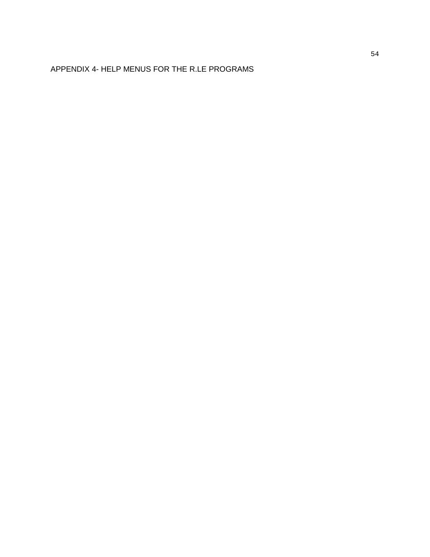# APPENDIX 4- HELP MENUS FOR THE R.LE PROGRAMS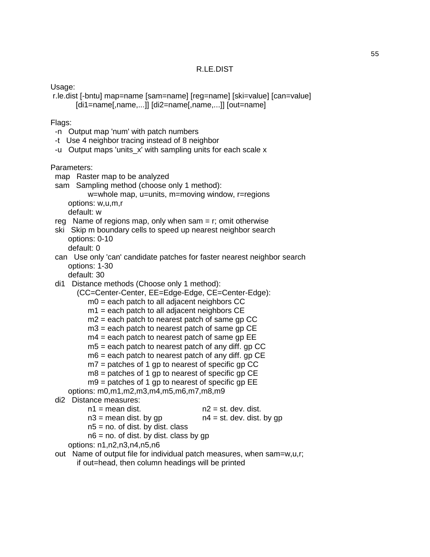Usage:

 r.le.dist [-bntu] map=name [sam=name] [reg=name] [ski=value] [can=value] [di1=name[,name,...]] [di2=name[,name,...]] [out=name]

## Flags:

- -n Output map 'num' with patch numbers
- -t Use 4 neighbor tracing instead of 8 neighbor
- -u Output maps 'units\_x' with sampling units for each scale x

Parameters:

- map Raster map to be analyzed
- sam Sampling method (choose only 1 method):

 w=whole map, u=units, m=moving window, r=regions options: w,u,m,r

default: w

- reg Name of regions map, only when sam  $= r$ ; omit otherwise
- ski Skip m boundary cells to speed up nearest neighbor search options: 0-10

default: 0

- can Use only 'can' candidate patches for faster nearest neighbor search options: 1-30
	- default: 30
- di1 Distance methods (Choose only 1 method):

 (CC=Center-Center, EE=Edge-Edge, CE=Center-Edge):  $m0 =$  each patch to all adjacent neighbors CC

- $m1$  = each patch to all adjacent neighbors CE
- $m2$  = each patch to nearest patch of same gp CC
- $m3$  = each patch to nearest patch of same gp CE
- $m4$  = each patch to nearest patch of same gp EE
- $m5$  = each patch to nearest patch of any diff. gp CC
- m6 = each patch to nearest patch of any diff. gp CE
- $m7$  = patches of 1 gp to nearest of specific gp CC
- $m8$  = patches of 1 gp to nearest of specific gp CE
- $mg =$  patches of 1 gp to nearest of specific gp EE

```
 options: m0,m1,m2,m3,m4,m5,m6,m7,m8,m9
```

```
 di2 Distance measures:
```

```
n1 = mean dist. n2 = st. dev. dist.
```
 $n3$  = mean dist. by gp  $n4$  = st. dev. dist. by gp

- $n5$  = no. of dist. by dist. class
	-
- $n6$  = no. of dist. by dist. class by qp
- options: n1,n2,n3,n4,n5,n6
- out Name of output file for individual patch measures, when sam=w,u,r; if out=head, then column headings will be printed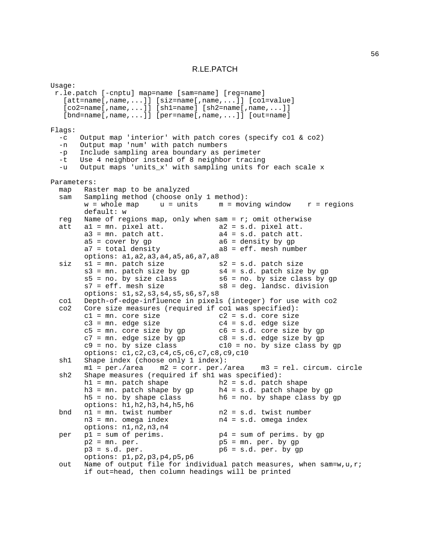#### R.LE.PATCH

Usage: r.le.patch [-cnptu] map=name [sam=name] [reg=name] [att=name[,name,...]] [siz=name[,name,...]] [co1=value]  $[co2 = name[,name, ...]] [sh1 = name] [sh2 = name[,name, ...]]$ [bnd=name[,name,...]] [per=name[,name,...]] [out=name] Flags: -c Output map 'interior' with patch cores (specify co1 & co2) -n Output map 'num' with patch numbers -p Include sampling area boundary as perimeter -t Use 4 neighbor instead of 8 neighbor tracing -u Output maps 'units\_x' with sampling units for each scale x Parameters: map Raster map to be analyzed sam Sampling method (choose only 1 method):  $w =$  whole map  $u =$  units  $m =$  moving window  $r =$  regions default: w reg Name of regions map, only when sam = r; omit otherwise att a1 = mn. pixel att. a2 = s.d. pixel att.  $a3 = mn$ . patch att.  $a4 = s.d$ . patch att.  $a5 = cover by gp$   $a6 = density by gp$ <br> $a7 = total density$   $a8 = eff. mesh num$  $a8 = eff$ . mesh number options: a1,a2,a3,a4,a5,a6,a7,a8  $\text{size}$  s1 = mm. patch size  $\text{size}$  s2 = s.d. patch size  $s3 = mn$ . patch size by gp  $s4 = s.d$ . patch size by gp  $s5 = no$ . by size class by g s5 = no. by size class s6 = no. by size class by gp<br>s7 = eff. mesh size s8 = deg. landsc. division  $s8 = deg.$  landsc. division options: s1,s2,s3,s4,s5,s6,s7,s8 co1 Depth-of-edge-influence in pixels (integer) for use with co2 Core size measures (required if col was specified):  $c1$  = mn. core size  $c2$  = s.d. core size  $c3 = mn$ . edge size  $c4 = s.d$ . edge size<br> $c5 = mn$ . core size by gp  $c6 = s.d$ . core size  $c6 = s.d.$  core size by  $gp$  $c7 = mn$ . edge size by gp  $c8 = s.d$ . edge size by gp  $c9 = no$ . by size class by  $c10$  = no. by size class by gp options: c1,c2,c3,c4,c5,c6,c7,c8,c9,c10 sh1 Shape index (choose only 1 index): m1 = per./area m2 = corr. per./area m3 = rel. circum. circle sh2 Shape measures (required if sh1 was specified): h1 = mn. patch shape h2 = s.d. patch shape h3 = mn. patch shape by gp h4 = s.d. patch shape by gp h5 = no. by shape class h6 = no. by shape class by gp options: h1,h2,h3,h4,h5,h6 bnd n1 = mn. twist number n2 = s.d. twist number n3 = mn. omega index n4 = s.d. omega index options: n1,n2,n3,n4 per  $p1 = sum of perims.$   $p4 = sum of perims.$  by qp  $p2 = mn. per.$ <br>  $p3 = s.d. per.$ <br>  $p4 = s.d. per. by gr  
p6 = s.d. per. by gr$  $p6 = s.d. per. by gp$ options: p1,p2,p3,p4,p5,p6 out Name of output file for individual patch measures, when  $sam=w, u, ri$ if out=head, then column headings will be printed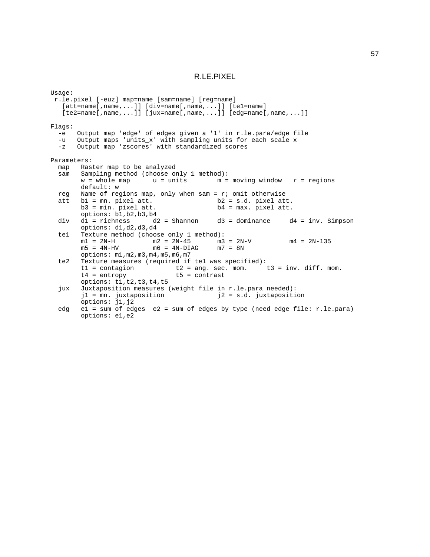#### R.LE.PIXEL

Usage: r.le.pixel [-euz] map=name [sam=name] [reg=name]  $[$ att=name $[$ ,name,...]]  $[div=$ name $[$ ,name,...]]  $[$ te1=name] [te2=name[,name,...]] [jux=name[,name,...]] [edg=name[,name,...]] Flags: -e Output map 'edge' of edges given a '1' in r.le.para/edge file -u Output maps 'units\_x' with sampling units for each scale x<br>-z Output map 'zscores' with standardized scores Output map 'zscores' with standardized scores Parameters: map Raster map to be analyzed sam Sampling method (choose only 1 method):<br> $w =$  whole map  $u =$  units  $m =$  $m = moving window$   $r = regions$ default: w reg Name of regions map, only when sam =  $r$ ; omit otherwise att b1 = mn. pixel att. b2 = s.d. pixel att b1 = mn. pixel att. b2 = s.d. pixel att.<br>
b3 = min. pixel att. b4 = max. pixel att.  $b4 = max.$  pixel att. options:  $b1, b2, b3, b4$ <br>d1 = richness d2 = Shannon div d1 = richness d2 = Shannon d3 = dominance d4 = inv. Simpson options: d1,d2,d3,d4 te1 Texture method (choose only 1 method):<br> $m1 = 2N-H$   $m2 = 2N-45$   $m3 = 2N-V$ m1 =  $2N-H$  m2 =  $2N-45$  m3 =  $2N-V$  m4 =  $2N-135$ <br>m5 =  $4N-HV$  m6 =  $4N-DIAG$  m7 =  $8N$  $m6 = 4N-DIAG$ options: m1,m2,m3,m4,m5,m6,m7 te2 Texture measures (required if te1 was specified):<br>t1 = contagion t2 = ang. sec. mom. t1 = contagion t2 = ang. sec. mom. t3 = inv. diff. mom.<br>t4 = entropy t5 = contrast  $t5 =$  contrast options: t1,t2,t3,t4,t5 jux Juxtaposition measures (weight file in r.le.para needed): j1 = mn. juxtaposition j2 = s.d. juxtaposition options: j1,j2 edg e1 = sum of edges e2 = sum of edges by type (need edge file: r.le.para) options: e1,e2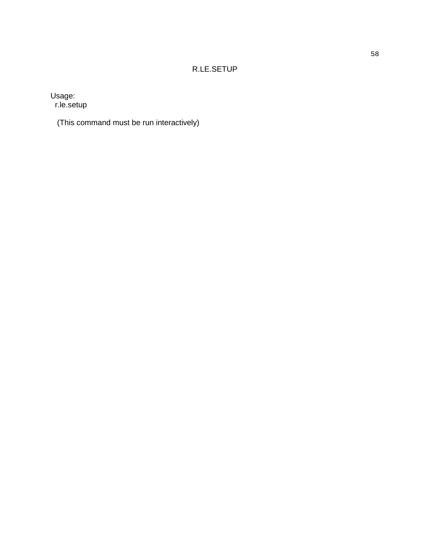# R.LE.SETUP

Usage:

r.le.setup

(This command must be run interactively)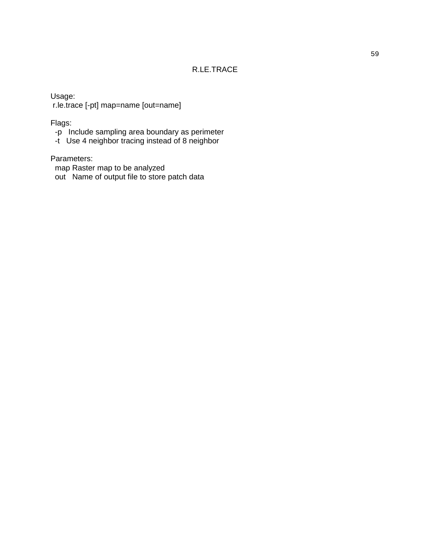# R.LE.TRACE

Usage: r.le.trace [-pt] map=name [out=name]

Flags:

- -p Include sampling area boundary as perimeter
- -t Use 4 neighbor tracing instead of 8 neighbor

Parameters:

- map Raster map to be analyzed
- out Name of output file to store patch data